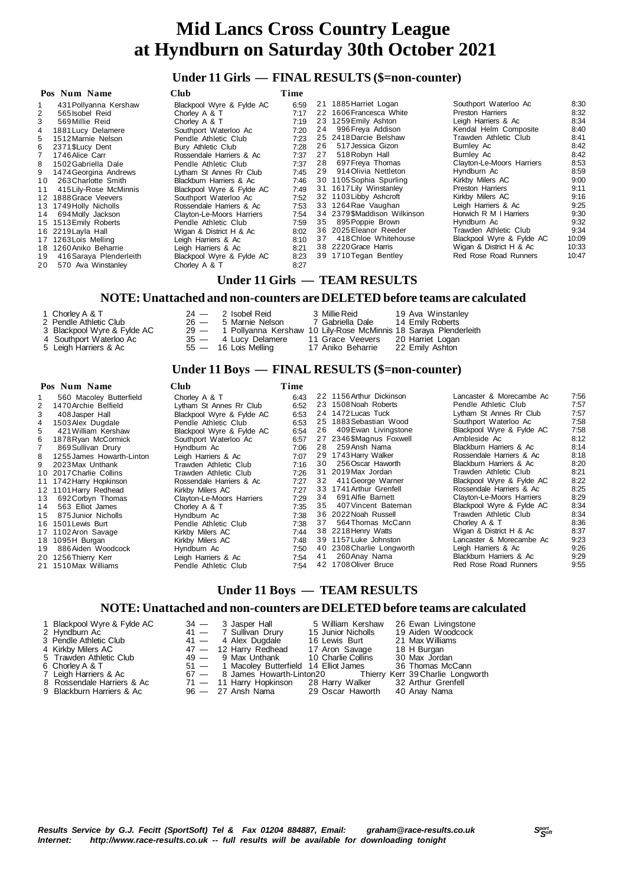#### **Under 11 Girls — FINAL RESULTS (\$=non-counter)**

|    | Pos Num Name            | <b>Club</b>               | Time |    |                             |                           |       |
|----|-------------------------|---------------------------|------|----|-----------------------------|---------------------------|-------|
|    | 431 Pollyanna Kershaw   | Blackpool Wyre & Fylde AC | 6:59 |    | 21 1885 Harriet Logan       | Southport Waterloo Ac     | 8:30  |
| 2  | 565 Isobel Reid         | Chorley A & T             | 7:17 |    | 22 1606 Francesca White     | Preston Harriers          | 8:32  |
| 3  | 569 Millie Reid         | Chorley A & T             | 7:19 |    | 23 1259 Emily Ashton        | Leigh Harriers & Ac       | 8:34  |
| 4  | 1881 Lucy Delamere      | Southport Waterloo Ac     | 7:20 | 24 | 996 Freya Addison           | Kendal Helm Composite     | 8:40  |
| 5  | 1512 Marnie Nelson      | Pendle Athletic Club      | 7:23 |    | 25 2418 Darcie Belshaw      | Trawden Athletic Club     | 8:41  |
| 6  | 2371 \$Lucy Dent        | Bury Athletic Club        | 7:28 | 26 | 517 Jessica Gizon           | Burnley Ac                | 8:42  |
|    | 1746 Alice Carr         | Rossendale Harriers & Ac  | 7:37 | 27 | 518 Robyn Hall              | Burnley Ac                | 8:42  |
| 8  | 1502 Gabriella Dale     | Pendle Athletic Club      | 7:37 | 28 | 697 Freya Thomas            | Clayton-Le-Moors Harriers | 8:53  |
| 9  | 1474 Georgina Andrews   | Lytham St Annes Rr Club   | 7:45 | 29 | 914 Olivia Nettleton        | Hyndburn Ac               | 8:59  |
| 10 | 263 Charlotte Smith     | Blackburn Harriers & Ac   | 7:46 |    | 30 1105 Sophia Spurling     | Kirkby Milers AC          | 9:00  |
| 11 | 415 Lily-Rose McMinnis  | Blackpool Wyre & Fylde AC | 7:49 |    | 31 1617 Lily Winstanley     | Preston Harriers          | 9:11  |
|    | 12 1888 Grace Veevers   | Southport Waterloo Ac     | 7:52 |    | 32 1103 Libby Ashcroft      | Kirkby Milers AC          | 9:16  |
|    | 13 1749 Holly Nicholls  | Rossendale Harriers & Ac  | 7:53 |    | 33 1264 Rae Vaughan         | Leigh Harriers & Ac       | 9:25  |
| 14 | 694 Molly Jackson       | Clayton-Le-Moors Harriers | 7:54 |    | 34 2379\$Maddison Wilkinson | Horwich R M I Harriers    | 9:30  |
|    | 15 1513 Emily Roberts   | Pendle Athletic Club      | 7:59 | 35 | 895 Poppie Brown            | Hyndburn Ac               | 9:32  |
|    | 16 2219 Layla Hall      | Wigan & District H & Ac   | 8:02 |    | 36 2025 Eleanor Reeder      | Trawden Athletic Club     | 9:34  |
|    | 17 1263 Lois Melling    | Leigh Harriers & Ac       | 8:10 | 37 | 418 Chloe Whitehouse        | Blackpool Wyre & Fylde AC | 10:09 |
|    | 18 1260 Aniko Beharrie  | Leigh Harriers & Ac       | 8:21 |    | 38 2220 Grace Harris        | Wigan & District H & Ac   | 10:33 |
| 19 | 416 Saraya Plenderleith | Blackpool Wyre & Fylde AC | 8:23 |    | 39 1710 Tegan Bentley       | Red Rose Road Runners     | 10:47 |
| 20 | 570 Ava Winstanley      | Chorley A & T             | 8:27 |    |                             |                           |       |

#### **Under 11 Girls — TEAM RESULTS**

#### **NOTE: Unattached and non-counters are DELETED before teams are calculated**

| 1 Chorley A & T |                                    |
|-----------------|------------------------------------|
|                 | $\sim$ $\sim$ $\sim$ $\sim$ $\sim$ |

- 2 Pendle Athletic Club  $26 3$  Blackpool Wyre & Fylde AC  $29 14$
- 
- 
- 
- 
- 3 Alexander Ac 29 1 Pollyanna Kershaw 10 Lily-Rose McMinnis 18 Saraya Plenderleith<br>35 14 Lucy Delamere 11 Grace Veevers 20 Harriet Logan<br>55 16 Lois Melling 17 Aniko Beharrie 22 Emily Ashton 4 Southport Waterloo Ac 35 — 4 Lucy Delamere 11 Grace Veevers 20 Harriet Logan 5 Leigh Harriers & Ac 55 — 16 Lois Melling 17 Aniko Beharrie 22 Emily Ashton

# 24 — 2 Isobel Reid 3 Millie Reid 19 Ava Winstanley<br>26 — 5 Marnie Nelson 7 Gabriella Dale 14 Emily Roberts

#### **Under 11 Boys — FINAL RESULTS (\$=non-counter)**

|    | Pos Num Name              | <b>Club</b>               | Time |    |                           |                           |      |
|----|---------------------------|---------------------------|------|----|---------------------------|---------------------------|------|
|    | 560 Macoley Butterfield   | Chorley A & T             | 6:43 |    | 22 1156 Arthur Dickinson  | Lancaster & Morecambe Ac  | 7:56 |
| 2  | 1470 Archie Belfield      | Lytham St Annes Rr Club   | 6:52 |    | 23 1508 Noah Roberts      | Pendle Athletic Club      | 7:57 |
| 3  | 408 Jasper Hall           | Blackpool Wyre & Fylde AC | 6:53 |    | 24 1472 Lucas Tuck        | Lytham St Annes Rr Club   | 7:57 |
| 4  | 1503 Alex Dugdale         | Pendle Athletic Club      | 6.53 |    | 25 1883 Sebastian Wood    | Southport Waterloo Ac     | 7:58 |
| 5. | 421 William Kershaw       | Blackpool Wyre & Fylde AC | 6:54 | 26 | 409 Ewan Livingstone      | Blackpool Wyre & Fylde AC | 7:58 |
| 6. | 1878 Ryan McCormick       | Southport Waterloo Ac     | 6:57 |    | 27 2346 \$Magnus Foxwell  | Ambleside Ac              | 8:12 |
|    | 869 Sullivan Drury        | Hyndburn Ac               | 7:06 | 28 | 259 Ansh Nama             | Blackburn Harriers & Ac   | 8:14 |
| 8  | 1255 James Howarth-Linton | Leigh Harriers & Ac       | 7:07 |    | 29 1743 Harry Walker      | Rossendale Harriers & Ac  | 8:18 |
| 9  | 2023 Max Unthank          | Trawden Athletic Club     | 7:16 | 30 | 256 Oscar Haworth         | Blackburn Harriers & Ac   | 8:20 |
|    | 10 2017 Charlie Collins   | Trawden Athletic Club     | 7:26 |    | 31 2019 Max Jordan        | Trawden Athletic Club     | 8:21 |
|    | 11 1742 Harry Hopkinson   | Rossendale Harriers & Ac  | 7:27 | 32 | 411 George Warner         | Blackpool Wyre & Fylde AC | 8:22 |
|    | 12 1101 Harry Redhead     | Kirkby Milers AC          | 7:27 |    | 33 1741 Arthur Grenfell   | Rossendale Harriers & Ac  | 8:25 |
| 13 | 692 Corbyn Thomas         | Clayton-Le-Moors Harriers | 7:29 | 34 | 691 Alfie Barnett         | Clayton-Le-Moors Harriers | 8:29 |
| 14 | 563 Elliot James          | Chorley A & T             | 7:35 | 35 | 407 Vincent Bateman       | Blackpool Wyre & Fylde AC | 8:34 |
| 15 | 875 Junior Nicholls       | Hyndburn Ac               | 7:38 |    | 36 2022 Noah Russell      | Trawden Athletic Club     | 8:34 |
|    | 16 1501 Lewis Burt        | Pendle Athletic Club      | 7:38 | 37 | 564 Thomas McCann         | Chorley A & T             | 8:36 |
|    | 17 1102 Aron Savage       | Kirkby Milers AC          | 7:44 |    | 38 2218 Henry Watts       | Wigan & District H & Ac   | 8:37 |
|    | 18 1095H Burgan           | Kirkby Milers AC          | 7:48 |    | 39 1157 Luke Johnston     | Lancaster & Morecambe Ac  | 9:23 |
| 19 | 886 Aiden Woodcock        | Hyndburn Ac               | 7:50 |    | 40 2308 Charlie Longworth | Leigh Harriers & Ac       | 9:26 |
|    | 20 1256 Thierry Kerr      | Leigh Harriers & Ac       | 7:54 | 41 | 260 Anay Nama             | Blackburn Harriers & Ac   | 9:29 |
|    | 21 1510Max Williams       | Pendle Athletic Club      | 7:54 |    | 42 1708 Oliver Bruce      | Red Rose Road Runners     | 9.55 |
|    |                           |                           |      |    |                           |                           |      |

#### **Under 11 Boys — TEAM RESULTS**

#### **NOTE: Unattached and non-counters are DELETED before teams are calculated**

| 1 Blackpool Wyre & Fylde AC<br>2 Hyndburn Ac | 34 — 3 Jasper Hall<br>41 - 7 Sullivan Drury                     | 5 William Kershaw<br>15 Junior Nicholls | 26 Ewan Livingstone<br>19 Aiden Woodcock |
|----------------------------------------------|-----------------------------------------------------------------|-----------------------------------------|------------------------------------------|
|                                              |                                                                 |                                         |                                          |
| 3 Pendle Athletic Club                       | $41 - 4$ Alex Dugdale                                           | 16 Lewis Burt                           | 21 Max Williams                          |
| 4 Kirkby Milers AC                           | 47 — 12 Harry Redhead                                           | 17 Aron Savage                          | 18 H Burgan                              |
| 5 Trawden Athletic Club                      | 49 - 9 Max Unthank 10 Charlie Collins                           |                                         | 30 Max Jordan                            |
| 6 Chorley A & T                              | 51 - 1 Macoley Butterfield 14 Elliot James 36 Thomas McCann     |                                         |                                          |
| 7 Leigh Harriers & Ac                        | 67 - 8 James Howarth-Linton20 Thierry Kerr 39 Charlie Longworth |                                         |                                          |
| 8 Rossendale Harriers & Ac                   | 71 - 11 Harry Hopkinson 28 Harry Walker 32 Arthur Grenfell      |                                         |                                          |
| 9 Blackburn Harriers & Ac                    | 96 - 27 Ansh Nama 29 Oscar Haworth 40 Anay Nama                 |                                         |                                          |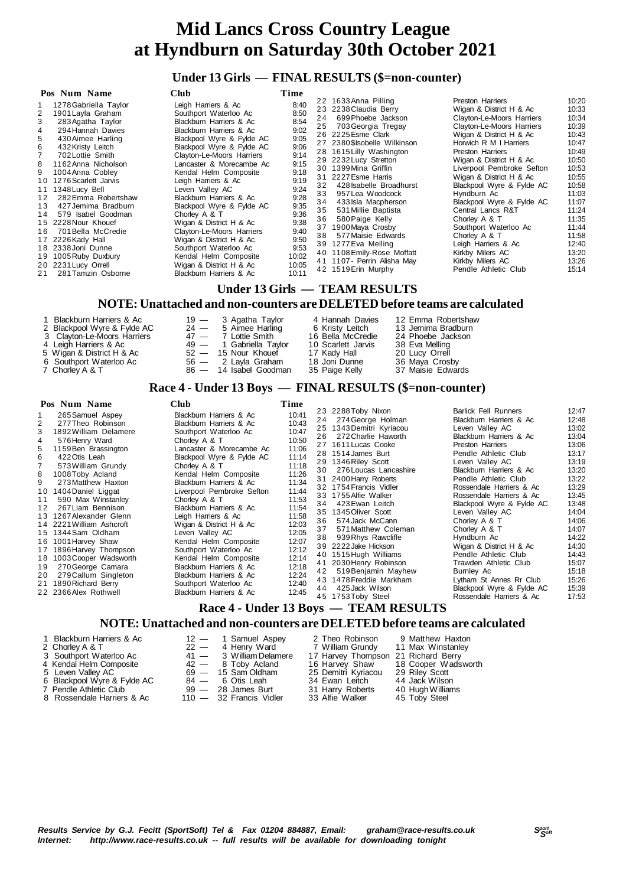## **Under 13 Girls — FINAL RESULTS (\$=non-counter)**

| Pos Num Name                                                                                                                                                                                                                                                                                                                                                                                                                                                                                                                                   | Club                                                                                                                                                                                                                                                                                                                                                                                                                                                                                                                                                         | Time                                                                                                                                                                    |                                                    |                                                                                                                                                                                                                                                                                                                                                                                                                                                                                                                          |                                                                                                                                                                                                                                                                                                                                                                                                                                                                                                                   |                                                                                                                                                                                           |
|------------------------------------------------------------------------------------------------------------------------------------------------------------------------------------------------------------------------------------------------------------------------------------------------------------------------------------------------------------------------------------------------------------------------------------------------------------------------------------------------------------------------------------------------|--------------------------------------------------------------------------------------------------------------------------------------------------------------------------------------------------------------------------------------------------------------------------------------------------------------------------------------------------------------------------------------------------------------------------------------------------------------------------------------------------------------------------------------------------------------|-------------------------------------------------------------------------------------------------------------------------------------------------------------------------|----------------------------------------------------|--------------------------------------------------------------------------------------------------------------------------------------------------------------------------------------------------------------------------------------------------------------------------------------------------------------------------------------------------------------------------------------------------------------------------------------------------------------------------------------------------------------------------|-------------------------------------------------------------------------------------------------------------------------------------------------------------------------------------------------------------------------------------------------------------------------------------------------------------------------------------------------------------------------------------------------------------------------------------------------------------------------------------------------------------------|-------------------------------------------------------------------------------------------------------------------------------------------------------------------------------------------|
| 1278 Gabriella Taylor<br>1901 Layla Graham<br>3<br>283 Agatha Taylor<br>294 Hannah Davies<br>4<br>430 Aimee Harling<br>5<br>6<br>432 Kristy Leitch<br>702 Lottie Smith<br>1162 Anna Nicholson<br>8<br>1004 Anna Cobley<br>9<br>1276 Scarlett Jarvis<br>10<br>11 1348 Lucy Bell<br>282 Emma Robertshaw<br>12<br>427 Jemima Bradburn<br>13<br>579 Isabel Goodman<br>14<br>15 2228 Nour Khouef<br>701 Bella McCredie<br>16.<br>17 2226 Kady Hall<br>18 2338 Joni Dunne<br>19 1005 Ruby Duxbury<br>20 2231 Lucy Orrell<br>281 Tamzin Osborne<br>21 | Leigh Harriers & Ac<br>Southport Waterloo Ac<br>Blackburn Harriers & Ac<br>Blackburn Harriers & Ac<br>Blackpool Wyre & Fylde AC<br>Blackpool Wyre & Fylde AC<br>Clayton-Le-Moors Harriers<br>Lancaster & Morecambe Ac<br>Kendal Helm Composite<br>Leigh Harriers & Ac<br>Leven Vallev AC<br>Blackburn Harriers & Ac<br>Blackpool Wyre & Fylde AC<br>Chorley A & T<br>Wigan & District H & Ac<br>Clayton-Le-Moors Harriers<br>Wigan & District H & Ac<br>Southport Waterloo Ac<br>Kendal Helm Composite<br>Wigan & District H & Ac<br>Blackburn Harriers & Ac | 8:40<br>8:50<br>8:54<br>9:02<br>9:05<br>9:06<br>9:14<br>9:15<br>9:18<br>9:19<br>9:24<br>9:28<br>9:35<br>9:36<br>9:38<br>9:40<br>9:50<br>9:53<br>10:02<br>10:05<br>10:11 | 24<br>25<br>32<br>33<br>34<br>35<br>36<br>37<br>38 | 22 1633 Anna Pilling<br>23 2238 Claudia Berry<br>699 Phoebe Jackson<br>703 Georgia Tregay<br>26 2225 Esme Clark<br>27 2380 \$Isobelle Wilkinson<br>28 1615 Lilly Washington<br>29 2232 Lucy Stretton<br>30 1399 Mina Griffin<br>31 2227 Esme Harris<br>428 Isabelle Broadhurst<br>957 Lea Woodcock<br>433 Isla Macpherson<br>531 Millie Baptista<br>580 Paige Kelly<br>1900 Maya Crosby<br>577 Maisie Edwards<br>39 1277 Eva Melling<br>40 1108 Emily-Rose Moffatt<br>41 1107 - Perrin Alisha May<br>42 1519 Erin Murphy | Preston Harriers<br>Wigan & District H & Ac<br>Clayton-Le-Moors Harriers<br>Clayton-Le-Moors Harriers<br>Wigan & District H & Ac<br>Horwich R M I Harriers<br>Preston Harriers<br>Wigan & District H & Ac<br>Liverpool Pembroke Sefton<br>Wigan & District H & Ac<br>Blackpool Wyre & Fylde AC<br>Hyndburn Ac<br>Blackpool Wyre & Fylde AC<br>Central Lancs R&T<br>Chorley A & T<br>Southport Waterloo Ac<br>Chorley A & T<br>Leigh Harriers & Ac<br>Kirkby Milers AC<br>Kirkby Milers AC<br>Pendle Athletic Club | 10:20<br>10:33<br>10:34<br>10:39<br>10:43<br>10:47<br>10:49<br>10:50<br>10:53<br>10:55<br>10:58<br>11:03<br>11:07<br>11:24<br>11:35<br>11:44<br>11:58<br>12:40<br>13:20<br>13:26<br>15:14 |

#### **Under 13 Girls — TEAM RESULTS**

#### **NOTE: Unattached and non-counters are DELETED before teams are calculated**

| 1 Blackburn Harriers & Ac<br>2 Blackpool Wyre & Fylde AC<br>3 Clavton-Le-Moors Harriers<br>4 Leigh Harriers & Ac<br>5 Wigan & District H & Ac<br>6 Southport Waterloo Ac<br>7 Chorley A & T |  | 19 — 3 Agatha Taylor<br>$24 - 5$ Aimee Harling<br>47 - 7 Lottie Smith<br>49 — 1 Gabriella Tavlor<br>$52 - 15$ Nour Khouef<br>56 — 2 Layla Graham<br>86 - 14 Isabel Goodman | 4 Hannah Davies<br>6 Kristy Leitch<br>16 Bella McCredie<br>10 Scarlett Jarvis<br>17 Kady Hall<br>18 Joni Dunne<br>35 Paige Kelly | 12 Emma Robertshaw<br>13 Jemima Bradburn<br>24 Phoebe Jackson<br>38 Eva Melling<br>20 Lucy Orrell<br>36 Maya Crosby<br>37 Maisie Edwards |  |
|---------------------------------------------------------------------------------------------------------------------------------------------------------------------------------------------|--|----------------------------------------------------------------------------------------------------------------------------------------------------------------------------|----------------------------------------------------------------------------------------------------------------------------------|------------------------------------------------------------------------------------------------------------------------------------------|--|
|---------------------------------------------------------------------------------------------------------------------------------------------------------------------------------------------|--|----------------------------------------------------------------------------------------------------------------------------------------------------------------------------|----------------------------------------------------------------------------------------------------------------------------------|------------------------------------------------------------------------------------------------------------------------------------------|--|

#### **Race 4 - Under 13 Boys — FINAL RESULTS (\$=non-counter)**

| Pos Num Name                                                                                                                                                                                                                                                                                                                                                                                                                                                                                                                                                                        | Club                                                                                                                                                                                                                                                                                                                                                                                                                                                                                                                                                          | Time                                                                                                                                                                                               |                                                                |                                                                                                                                                                                                                                                                                                                                                                                                                                                                                                                                               |                                                                                                                                                                                                                                                                                                                                                                                                                                                                                                                                                               |                                                                                                                                                                                                             |
|-------------------------------------------------------------------------------------------------------------------------------------------------------------------------------------------------------------------------------------------------------------------------------------------------------------------------------------------------------------------------------------------------------------------------------------------------------------------------------------------------------------------------------------------------------------------------------------|---------------------------------------------------------------------------------------------------------------------------------------------------------------------------------------------------------------------------------------------------------------------------------------------------------------------------------------------------------------------------------------------------------------------------------------------------------------------------------------------------------------------------------------------------------------|----------------------------------------------------------------------------------------------------------------------------------------------------------------------------------------------------|----------------------------------------------------------------|-----------------------------------------------------------------------------------------------------------------------------------------------------------------------------------------------------------------------------------------------------------------------------------------------------------------------------------------------------------------------------------------------------------------------------------------------------------------------------------------------------------------------------------------------|---------------------------------------------------------------------------------------------------------------------------------------------------------------------------------------------------------------------------------------------------------------------------------------------------------------------------------------------------------------------------------------------------------------------------------------------------------------------------------------------------------------------------------------------------------------|-------------------------------------------------------------------------------------------------------------------------------------------------------------------------------------------------------------|
| 265 Samuel Aspey<br>277 Theo Robinson<br>2<br>1892 William Delamere<br>576 Henry Ward<br>1159 Ben Brassington<br>422 Otis Leah<br>6<br>573 William Grundy<br>1008 Toby Acland<br>8<br>273 Matthew Haxton<br>1404 Daniel Liggat<br>10<br>590 Max Winstanley<br>11<br>267 Liam Bennison<br>12<br>1267 Alexander Glenn<br>13<br>14 2221 William Ashcroft<br>1344 Sam Oldham<br>15<br>1001 Harvey Shaw<br>16<br>1896 Harvey Thompson<br>17<br>1003 Cooper Wadsworth<br>18<br>270 George Camara<br>19<br>279 Callum Singleton<br>20<br>1890 Richard Berry<br>21<br>22 2366 Alex Rothwell | Blackburn Harriers & Ac<br>Blackburn Harriers & Ac<br>Southport Waterloo Ac<br>Chorley A & T<br>Lancaster & Morecambe Ac<br>Blackpool Wyre & Fylde AC<br>Chorley A & T<br>Kendal Helm Composite<br>Blackburn Harriers & Ac<br>Liverpool Pembroke Sefton<br>Chorley A & T<br>Blackburn Harriers & Ac<br>Leigh Harriers & Ac<br>Wigan & District H & Ac<br>Leven Valley AC<br>Kendal Helm Composite<br>Southport Waterloo Ac<br>Kendal Helm Composite<br>Blackburn Harriers & Ac<br>Blackburn Harriers & Ac<br>Southport Waterloo Ac<br>Blackburn Harriers & Ac | 10:41<br>10:43<br>10:47<br>10:50<br>11:06<br>11:14<br>11:18<br>11:26<br>11:34<br>11:44<br>11:53<br>11:54<br>11:58<br>12:03<br>12:05<br>12:07<br>12:12<br>12:14<br>12:18<br>12:24<br>12:40<br>12:45 | 26<br>30<br>34<br>36<br>37<br>38<br>40<br>41<br>42<br>43<br>44 | 23 2288 Toby Nixon<br>24 274 George Holman<br>25 1343 Demitri Kyriacou<br>272 Charlie Haworth<br>27 1611 Lucas Cooke<br>28 1514 James Burt<br>29 1346 Riley Scott<br>276 Loucas Lancashire<br>31 2400 Harry Roberts<br>32 1754 Francis Vidler<br>33 1755 Alfie Walker<br>423 Ewan Leitch<br>35 1345 Oliver Scott<br>574 Jack McCann<br>571 Matthew Coleman<br>939 Rhys Rawcliffe<br>39 2222 Jake Hickson<br>1515 Hugh Williams<br>2030 Henry Robinson<br>519 Benjamin Mayhew<br>1478 Freddie Markham<br>425 Jack Wilson<br>45 1753 Toby Steel | <b>Barlick Fell Runners</b><br>Blackburn Harriers & Ac<br>Leven Valley AC<br>Blackburn Harriers & Ac<br>Preston Harriers<br>Pendle Athletic Club<br>Leven Valley AC<br>Blackburn Harriers & Ac<br>Pendle Athletic Club<br>Rossendale Harriers & Ac<br>Rossendale Harriers & Ac<br>Blackpool Wyre & Fylde AC<br>Leven Valley AC<br>Chorley A & T<br>Chorley A & T<br>Hyndburn Ac<br>Wigan & District H & Ac<br>Pendle Athletic Club<br>Trawden Athletic Club<br>Burnley Ac<br>Lytham St Annes Rr Club<br>Blackpool Wyre & Fylde AC<br>Rossendale Harriers & Ac | 12:47<br>12:48<br>13:02<br>13:04<br>13:06<br>13:17<br>13:19<br>13:20<br>13:22<br>13:29<br>13:45<br>13:48<br>14:04<br>14:06<br>14:07<br>14:22<br>14:30<br>14:43<br>15:07<br>15:18<br>15:26<br>15:39<br>17:53 |
|                                                                                                                                                                                                                                                                                                                                                                                                                                                                                                                                                                                     |                                                                                                                                                                                                                                                                                                                                                                                                                                                                                                                                                               |                                                                                                                                                                                                    |                                                                |                                                                                                                                                                                                                                                                                                                                                                                                                                                                                                                                               |                                                                                                                                                                                                                                                                                                                                                                                                                                                                                                                                                               |                                                                                                                                                                                                             |

 **Race 4 - Under 13 Boys — TEAM RESULTS**

### **NOTE: Unattached and non-counters are DELETED before teams are calculated**

| 1 Blackburn Harriers & Ac   | $12 - 1$ Samuel Aspey     | 2 Theo Robinson 9 Matthew Haxton    |                                    |
|-----------------------------|---------------------------|-------------------------------------|------------------------------------|
| 2 Chorley A & T             | 22 — 4 Henry Ward         | 7 William Grundy 11 Max Winstanley  |                                    |
| 3 Southport Waterloo Ac     | 41 - 3 William Delamere   | 17 Harvey Thompson 21 Richard Berry |                                    |
| 4 Kendal Helm Composite     | $42 - 8$ Toby Acland      |                                     | 16 Harvey Shaw 18 Cooper Wadsworth |
| 5 Leven Valley AC           | 69 — 15 Sam Oldham        | 25 Demitri Kyriacou 29 Riley Scott  |                                    |
| 6 Blackpool Wyre & Fylde AC | 84 — 6 Otis Leah          | 34 Ewan Leitch                      | 44 Jack Wilson                     |
| 7 Pendle Athletic Club      | $99 - 28$ James Burt      | 31 Harry Roberts                    | 40 Hugh Williams                   |
| 8 Rossendale Harriers & Ac  | $110 - 32$ Francis Vidler | 33 Alfie Walker                     | 45 Toby Steel                      |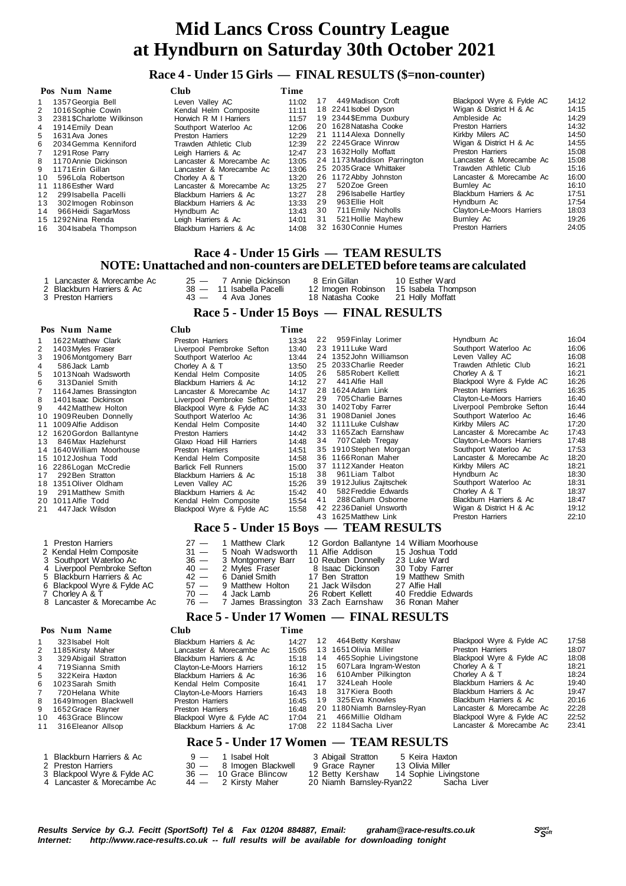#### **Race 4 - Under 15 Girls — FINAL RESULTS (\$=non-counter)**

|    | Pos Num Name               | Club                     | Time  |    |                             |                           |       |
|----|----------------------------|--------------------------|-------|----|-----------------------------|---------------------------|-------|
|    | 1357 Georgia Bell          | Leven Valley AC          | 11:02 | 17 | 449 Madison Croft           | Blackpool Wyre & Fylde AC | 14:12 |
|    | 2 1016 Sophie Cowin        | Kendal Helm Composite    | 11:11 |    | 18 2241 sobel Dyson         | Wigan & District H & Ac   | 14:15 |
| 3  | 2381 \$Charlotte Wilkinson | Horwich R M I Harriers   | 11:57 |    | 19 2344\$Emma Duxbury       | Ambleside Ac              | 14:29 |
| 4  | 1914 Emily Dean            | Southport Waterloo Ac    | 12:06 |    | 20 1628 Natasha Cooke       | <b>Preston Harriers</b>   | 14:32 |
| 5. | 1631 Ava Jones             | Preston Harriers         | 12:29 |    | 21 1114 Alexa Donnelly      | Kirkby Milers AC          | 14:50 |
|    | 6 2034 Gemma Kenniford     | Trawden Athletic Club    | 12:39 |    | 22 2245 Grace Winrow        | Wigan & District H & Ac   | 14:55 |
|    | 7 1291 Rose Parry          | Leigh Harriers & Ac      | 12:47 |    | 23 1632 Holly Moffatt       | <b>Preston Harriers</b>   | 15:08 |
|    | 8 1170 Annie Dickinson     | Lancaster & Morecambe Ac | 13:05 |    | 24 1173 Maddison Parrington | Lancaster & Morecambe Ac  | 15:08 |
| 9  | 1171 Erin Gillan           | Lancaster & Morecambe Ac | 13:06 |    | 25 2035 Grace Whittaker     | Trawden Athletic Club     | 15:16 |
| 10 | 596 Lola Robertson         | Chorley A & T            | 13:20 |    | 26 1172 Abby Johnston       | Lancaster & Morecambe Ac  | 16:00 |
|    | 11 1186 Esther Ward        | Lancaster & Morecambe Ac | 13:25 | 27 | 520Zoe Green                | Bumley Ac                 | 16:10 |
| 12 | 299 Isabella Pacelli       | Blackburn Harriers & Ac  | 13:27 | 28 | 296 Isabelle Hartley        | Blackburn Harriers & Ac   | 17:51 |
| 13 | 302 Imogen Robinson        | Blackburn Harriers & Ac  | 13:33 | 29 | 963 Ellie Holt              | Hyndburn Ac               | 17:54 |
| 14 | 966 Heidi SagarMoss        | Hyndburn Ac              | 13:43 | 30 | 711 Emily Nicholls          | Clayton-Le-Moors Harriers | 18:03 |
|    | 15 1292 Nina Renda         | Leigh Harriers & Ac      | 14:01 | 31 | 521 Hollie Mayhew           | Bumley Ac                 | 19:26 |
| 16 | 304 Isabela Thompson       | Blackburn Harriers & Ac  | 14:08 |    | 32 1630 Connie Humes        | <b>Preston Harriers</b>   | 24:05 |

#### **Race 4 - Under 15 Girls — TEAM RESULTS NOTE: Unattached and non-counters are DELETED before teams are calculated**

- 
- 

1 Lancaster & Morecambe Ac 25 — 7 Annie Dickinson 8 Erin Gillan 10 Esther Ward 2 Blackburn Harriers & Ac 38 — 11 Isabella Pacelli 12 Imogen Robinson 15 Isabela Thompson 3 Preston Harriers 43 — 4 Ava Jones 18 Natasha Cooke 21 Holly Moffatt

#### **Race 5 - Under 15 Boys — FINAL RESULTS**

#### **Pos Num Name Club Time**

| 1622 Matthew Clark        | <b>Preston Harriers</b>     | 13:34 |    | 959 Finlay Lorimer | Hyndburn Ac                                                                                                                                                                                                                                                                                                                                                                                                                                                               | 16:04 |
|---------------------------|-----------------------------|-------|----|--------------------|---------------------------------------------------------------------------------------------------------------------------------------------------------------------------------------------------------------------------------------------------------------------------------------------------------------------------------------------------------------------------------------------------------------------------------------------------------------------------|-------|
| 1403 Myles Fraser         | Liverpool Pembroke Sefton   | 13:40 |    |                    | Southport Waterloo Ac                                                                                                                                                                                                                                                                                                                                                                                                                                                     | 16:06 |
| 1906 Montgomery Barr      | Southport Waterloo Ac       | 13:44 |    |                    | Leven Vallev AC                                                                                                                                                                                                                                                                                                                                                                                                                                                           | 16:08 |
| 586 Jack Lamb             | Chorley A & T               | 13:50 |    |                    | Trawden Athletic Club                                                                                                                                                                                                                                                                                                                                                                                                                                                     | 16:21 |
| 1013 Noah Wadsworth       | Kendal Helm Composite       | 14:05 |    | 585 Robert Kellett | Chorley A & T                                                                                                                                                                                                                                                                                                                                                                                                                                                             | 16:21 |
| 313 Daniel Smith          | Blackburn Harriers & Ac     | 14:12 | 27 | 441 Alfie Hall     | Blackpool Wyre & Fylde AC                                                                                                                                                                                                                                                                                                                                                                                                                                                 | 16:26 |
| 1164 James Brassington    | Lancaster & Morecambe Ac    | 14:17 |    |                    | <b>Preston Harriers</b>                                                                                                                                                                                                                                                                                                                                                                                                                                                   | 16:35 |
| 1401 Isaac Dickinson      | Liverpool Pembroke Sefton   | 14:32 | 29 | 705 Charlie Barnes | Clayton-Le-Moors Harriers                                                                                                                                                                                                                                                                                                                                                                                                                                                 | 16:40 |
| 442 Matthew Holton        | Blackpool Wyre & Fylde AC   | 14:33 |    |                    | Liverpool Pembroke Sefton                                                                                                                                                                                                                                                                                                                                                                                                                                                 | 16:44 |
| 10 1909 Reuben Donnelly   | Southport Waterloo Ac       | 14:36 |    |                    | Southport Waterloo Ac                                                                                                                                                                                                                                                                                                                                                                                                                                                     | 16:46 |
| 11 1009 Alfie Addison     | Kendal Helm Composite       | 14:40 |    |                    | Kirkby Milers AC                                                                                                                                                                                                                                                                                                                                                                                                                                                          | 17:20 |
| 12 1620 Gordon Ballantyne | Preston Harriers            | 14:42 |    |                    | Lancaster & Morecambe Ac                                                                                                                                                                                                                                                                                                                                                                                                                                                  | 17:43 |
| 846 Max Hazlehurst<br>13  | Glaxo Hoad Hill Harriers    | 14:48 |    |                    | Clayton-Le-Moors Harriers                                                                                                                                                                                                                                                                                                                                                                                                                                                 | 17:48 |
| 14 1640 William Moorhouse | <b>Preston Harriers</b>     | 14:51 |    |                    | Southport Waterloo Ac                                                                                                                                                                                                                                                                                                                                                                                                                                                     | 17:53 |
| 15 1012 Joshua Todd       | Kendal Helm Composite       | 14:58 |    |                    | Lancaster & Morecambe Ac                                                                                                                                                                                                                                                                                                                                                                                                                                                  | 18:20 |
| 16 2286 Logan McCredie    | <b>Barlick Fell Runners</b> | 15:00 |    |                    | Kirkby Milers AC                                                                                                                                                                                                                                                                                                                                                                                                                                                          | 18:21 |
| 292 Ben Stratton<br>17    | Blackburn Harriers & Ac     | 15:18 |    | 961 Liam Talbot    | Hyndburn Ac                                                                                                                                                                                                                                                                                                                                                                                                                                                               | 18:30 |
| 18 1351 Oliver Oldham     | Leven Valley AC             | 15:26 |    |                    | Southport Waterloo Ac                                                                                                                                                                                                                                                                                                                                                                                                                                                     | 18:31 |
| 19<br>291 Matthew Smith   | Blackburn Harriers & Ac     | 15:42 |    |                    | Chorley A & T                                                                                                                                                                                                                                                                                                                                                                                                                                                             | 18:37 |
| 20 1011 Alfie Todd        | Kendal Helm Composite       | 15:54 |    | 288 Callum Osborne | Blackburn Harriers & Ac                                                                                                                                                                                                                                                                                                                                                                                                                                                   | 18:47 |
| 447 Jack Wilsdon<br>21    | Blackpool Wyre & Fylde AC   | 15:58 |    |                    | Wigan & District H & Ac                                                                                                                                                                                                                                                                                                                                                                                                                                                   | 19:12 |
|                           |                             |       |    |                    | <b>Preston Harriers</b>                                                                                                                                                                                                                                                                                                                                                                                                                                                   | 22:10 |
|                           |                             |       |    |                    |                                                                                                                                                                                                                                                                                                                                                                                                                                                                           |       |
|                           |                             |       |    |                    | 22<br>23 1911 Luke Ward<br>24 1352 John Williamson<br>25 2033 Charlie Reeder<br>26<br>28 1624 Adam Link<br>30 1402 Toby Farrer<br>31 1908 Daniel Jones<br>32 1111 Luke Culshaw<br>33 1165Zach Earnshaw<br>34 707 Caleb Tregay<br>35 1910 Stephen Morgan<br>36 1166 Ronan Maher<br>37 1112 Xander Heaton<br>38<br>39 1912 Julius Zajitschek<br>582 Freddie Edwards<br>40<br>41<br>42 2236 Daniel Unsworth<br>43 1625 Matthew Link<br>Race 5 - Under 15 Boys — TEAM RESULTS |       |

| 1 Preston Harriers          | 27 - 1 Matthew Clark                      |                    | 12 Gordon Ballantyne 14 William Moorhouse |
|-----------------------------|-------------------------------------------|--------------------|-------------------------------------------|
| 2 Kendal Helm Composite     | $31 - 5$ Noah Wadsworth                   | 11 Alfie Addison   | 15 Joshua Todd                            |
| 3 Southport Waterloo Ac     | 36 - 3 Montgomery Barr                    | 10 Reuben Donnelly | 23 Luke Ward                              |
| 4 Liverpool Pembroke Sefton | 40 - 2 Myles Fraser                       | 8 Isaac Dickinson  | 30 Toby Farrer                            |
| 5 Blackburn Harriers & Ac   | $42 - 6$ Daniel Smith                     | 17 Ben Stratton    | 19 Matthew Smith                          |
| 6 Blackpool Wyre & Fylde AC | 57 - 9 Matthew Holton                     | 21 Jack Wilsdon    | 27 Alfie Hall                             |
| 7 Chorley A & T             | 70 - 4 Jack Lamb 26 Robert Kellett        |                    | 40 Freddie Edwards                        |
| 8 Lancaster & Morecambe Ac  | 76 - 7 James Brassington 33 Zach Earnshaw |                    | 36 Ronan Maher                            |

#### **Race 5 - Under 17 Women — FINAL RESULTS**

|    | Pos Num Name            | Club                      | Time  |    |                                        |                           |       |
|----|-------------------------|---------------------------|-------|----|----------------------------------------|---------------------------|-------|
|    | 323 Isabel Holt         | Blackburn Harriers & Ac   | 14:27 | 12 | 464 Betty Kershaw                      | Blackpool Wyre & Fylde AC | 17:58 |
| 2  | 1185 Kirsty Maher       | Lancaster & Morecambe Ac  | 15:05 |    | 13 1651 Olivia Miller                  | Preston Harriers          | 18:07 |
| 3. | 329 Abigail Stratton    | Blackburn Harriers & Ac   | 15:18 | 14 | 465 Sophie Livingstone                 | Blackpool Wyre & Fylde AC | 18:08 |
| 4  | 719 Sianna Smith        | Clayton-Le-Moors Harriers | 16:12 | 15 | 607 Lara Ingram-Weston                 | Chorley A & T             | 18:21 |
| 5. | 322 Keira Haxton        | Blackburn Harriers & Ac   | 16:36 | 16 | 610 Amber Pilkington                   | Chorley A & T             | 18:24 |
| 6. | 1023 Sarah Smith        | Kendal Helm Composite     | 16:41 | 17 | 324 Leah Hoole                         | Blackburn Harriers & Ac   | 19:40 |
|    | 720 Helana White        | Clayton-Le-Moors Harriers | 16:43 | 18 | 317 Kiera Booth                        | Blackburn Harriers & Ac   | 19:47 |
|    | 8 1649 Imogen Blackwell | Preston Harriers          | 16:45 | 19 | 325 Eva Knowles                        | Blackburn Harriers & Ac   | 20:16 |
|    | 9 1652 Grace Rayner     | <b>Preston Harriers</b>   | 16:48 |    | 20 1180 Niamh Barnsley-Ryan            | Lancaster & Morecambe Ac  | 22:28 |
| 10 | 463 Grace Blincow       | Blackpool Wyre & Fylde AC | 17:04 | 21 | 466 Millie Oldham                      | Blackpool Wyre & Fylde AC | 22:52 |
| 11 | 316 Eleanor Allsop      | Blackburn Harriers & Ac   | 17:08 |    | 22 1184 Sacha Liver                    | Lancaster & Morecambe Ac  | 23:41 |
|    |                         |                           |       |    | Race 5 - Under 17 Women — TEAM RESULTS |                           |       |

- 
- 

2 Press 12 Press 30 — 8 Imogen Blackwell 9 Grace Rayner 13 Olivia Miller<br>
26 — 10 Grace Blincow 12 Betty Kershaw 14 Sophie Livingstone

1 Blackburn Harriers & Ac  $9 - 1$  Isabel Holt 3 Abigail Stratton 5 Keira Haxton<br>2 Preston Harriers 30 - 8 Imogen Blackwell 9 Grace Rayner 13 Olivia Miller

3 Blackpool Wyre & Fylde AC 36 — 10 Grace Blincow 12 Betty Kershaw 14 Sophie Livingstone 4 Lancaster & Morecambe Ac 44 — 2 Kirsty Maher 20 Niamh Barnsley-Ryan22 Sacha Liver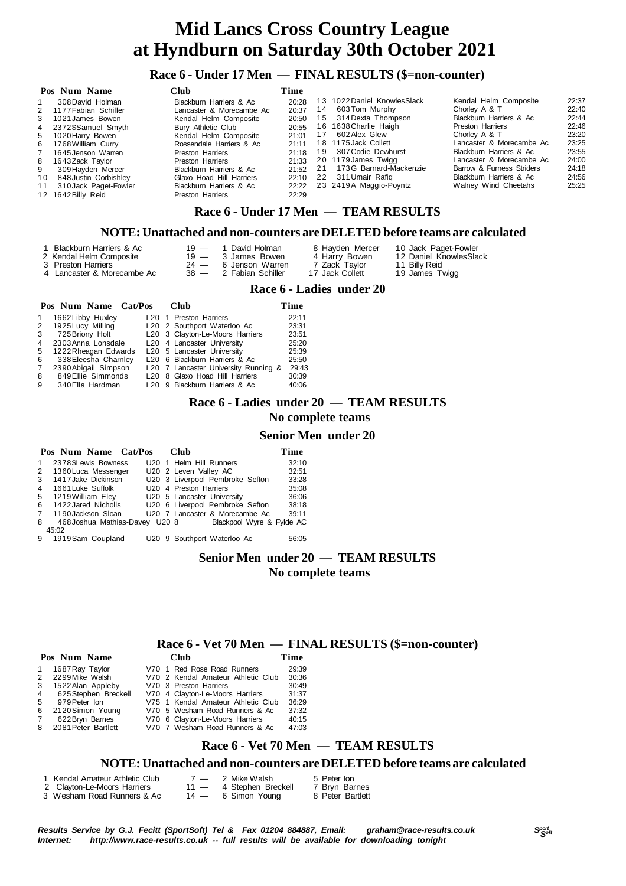#### **Race 6 - Under 17 Men — FINAL RESULTS (\$=non-counter)**

|                 | Club<br>Pos Num Name   |                          | Time  |    |                              |                           |       |
|-----------------|------------------------|--------------------------|-------|----|------------------------------|---------------------------|-------|
|                 | 308 David Holman       | Blackburn Harriers & Ac  | 20:28 |    | 13 1022 Daniel Knowles Slack | Kendal Helm Composite     | 22:37 |
|                 | 2 1177 Fabian Schiller | Lancaster & Morecambe Ac | 20:37 | 14 | 603Tom Murphy                | Chorley A & T             | 22:40 |
|                 | 3 1021 James Bowen     | Kendal Helm Composite    | 20:50 |    | 15 314 Dexta Thompson        | Blackburn Harriers & Ac   | 22:44 |
|                 | 4 2372\$Samuel Smyth   | Bury Athletic Club       | 20:55 |    | 16 1638 Charlie Haigh        | <b>Preston Harriers</b>   | 22:46 |
|                 | 5 1020 Harry Bowen     | Kendal Helm Composite    | 21:01 |    | 602 Alex Glew                | Chorley A & T             | 23:20 |
|                 | 6 1768 William Curry   | Rossendale Harriers & Ac | 21:11 |    | 18 1175 Jack Collett         | Lancaster & Morecambe Ac  | 23:25 |
| $\mathbf{7}$    | 1645 Jenson Warren     | Preston Harriers         | 21:18 |    | 19 307 Codie Dewhurst        | Blackburn Harriers & Ac   | 23:55 |
|                 | 8 1643 Zack Tavlor     | Preston Harriers         | 21:33 |    | 20 1179 James Twigg          | Lancaster & Morecambe Ac  | 24:00 |
| 9               | 309 Hayden Mercer      | Blackburn Harriers & Ac  | 21:52 | 21 | 173G Barnard-Mackenzie       | Barrow & Furness Striders | 24:18 |
| 10 <sup>1</sup> | 848 Justin Corbishley  | Glaxo Hoad Hill Harriers | 22:10 |    | 22 311 Umair Rafig           | Blackburn Harriers & Ac   | 24:56 |
| 11              | 310 Jack Paget-Fowler  | Blackburn Harriers & Ac  | 22:22 |    | 23 2419A Maggio-Poyntz       | Walney Wind Cheetahs      | 25:25 |
|                 | 12 1642 Billy Reid     | Preston Harriers         | 22:29 |    |                              |                           |       |

#### **Race 6 - Under 17 Men — TEAM RESULTS**

#### **NOTE: Unattached and non-counters are DELETED before teams are calculated**

| 1 Blackburn Harriers & Ac  | 19 — 1 David Holman    | 8 Hayden Mercer          | 10 Jack Paget-Fowler   |
|----------------------------|------------------------|--------------------------|------------------------|
| 2 Kendal Helm Composite    | 19 — 3 James Bowen     | 4 Harry Bowen            | 12 Daniel KnowlesSlack |
| 3 Preston Harriers         | $24 - 6$ Jenson Warren | 7 Zack Taylor            | 11 Billy Reid          |
| 4 Lancaster & Morecambe Ac | 38 — 2 Fabian Schiller | 17 Jack Collett          | 19 James Twigg         |
|                            |                        | Race 6 - Ladies under 20 |                        |

## **Pos Num Name Cat/Pos Club Time**<br>1 1662Libby Huxley **L20** 1 Preston Harriers 22:11 1 1662 Libby Huxley L20 1 Preston Harriers

|             | 2 1925 Lucy Milling    |  | L20 2 Southport Waterloo Ac          | 23:31 |
|-------------|------------------------|--|--------------------------------------|-------|
|             | 3 725 Briony Holt      |  | L20 3 Clayton-Le-Moors Harriers      | 23:51 |
|             | 4 2303 Anna Lonsdale   |  | L20 4 Lancaster University           | 25:20 |
|             | 5 1222 Rheagan Edwards |  | L20 5 Lancaster University           | 25:39 |
|             | 6 338 Eleesha Charnley |  | L20 6 Blackburn Harriers & Ac        | 25:50 |
| $7^{\circ}$ | 2390 Abigail Simpson   |  | L20 7 Lancaster University Running & | 29:43 |
| 8           | 849 Ellie Simmonds     |  | L20 8 Glaxo Hoad Hill Harriers       | 30:39 |
| 9           | 340 Ella Hardman       |  | L20 9 Blackburn Harriers & Ac        | 40:06 |
|             |                        |  |                                      |       |

#### **Race 6 - Ladies under 20 — TEAM RESULTS**

 **No complete teams**

#### **Senior Men under 20**

|                | Pos Num Name Cat/Pos     |  | Club                               | Time  |
|----------------|--------------------------|--|------------------------------------|-------|
| $\mathbf{1}$   | 2378 SLewis Bowness      |  | U20 1 Helm Hill Runners            | 32:10 |
| 2              | 1360 Luca Messenger      |  | U20 2 Leven Valley AC              | 32:51 |
| 3              | 1417 Jake Dickinson      |  | U20 3 Liverpool Pembroke Sefton    | 33:28 |
| $\overline{4}$ | 1661 Luke Suffolk        |  | U20 4 Preston Harriers             | 35:08 |
| 5              | 1219 William Eley        |  | U20 5 Lancaster University         | 36:06 |
| 6              | 1422 Jared Nicholls      |  | U20 6 Liverpool Pembroke Sefton    | 38:18 |
| $\overline{7}$ | 1190 Jackson Sloan       |  | U20 7 Lancaster & Morecambe Ac     | 39:11 |
| 8              | 468 Joshua Mathias-Davey |  | Blackpool Wyre & Fylde AC<br>U20 8 |       |
|                | 45:02                    |  |                                    |       |
|                | 9 1919 Sam Coupland      |  | U20 9 Southport Waterloo Ac        | 56:05 |

#### **Senior Men under 20 — TEAM RESULTS No complete teams**

#### **Race 6 - Vet 70 Men — FINAL RESULTS (\$=non-counter)**

|   | Pos Num Name          | Club                        |                                    | Time  |                                    |  |
|---|-----------------------|-----------------------------|------------------------------------|-------|------------------------------------|--|
| 1 | 1687 Ray Taylor       | V70 1 Red Rose Road Runners |                                    | 29:39 |                                    |  |
|   | 2 2299 Mike Walsh     |                             | V70 2 Kendal Amateur Athletic Club | 30:36 |                                    |  |
|   | 3 1522 Alan Appleby   | V70 3 Preston Harriers      |                                    | 30:49 |                                    |  |
| 4 | 625 Stephen Breckell  |                             | V70 4 Clayton-Le-Moors Harriers    | 31:37 |                                    |  |
| 5 | 979 Peter Ion         |                             | V75 1 Kendal Amateur Athletic Club | 36:29 |                                    |  |
|   | 6 2120 Simon Young    |                             | V70 5 Wesham Road Runners & Ac     | 37:32 |                                    |  |
|   | 622 Bryn Barnes       |                             | V70 6 Clayton-Le-Moors Harriers    | 40:15 |                                    |  |
|   | 8 2081 Peter Bartlett |                             | V70 7 Wesham Road Runners & Ac     | 47:03 |                                    |  |
|   |                       |                             |                                    |       | Race 6 - Vet 70 Men — TEAM RESULTS |  |
|   |                       |                             |                                    |       |                                    |  |

#### **NOTE: Unattached and non-counters are DELETED before teams are calculated**

| 1 Kendal Amateur Athletic Club |        | 7 — 2 Mike Walsh   | 5 Peter Ion      |
|--------------------------------|--------|--------------------|------------------|
| 2 Clayton-Le-Moors Harriers    | $11 -$ | 4 Stephen Breckell | 7 Bryn Barnes    |
| 3 Wesham Road Runners & Ac     | $14 -$ | 6 Simon Young      | 8 Peter Bartlett |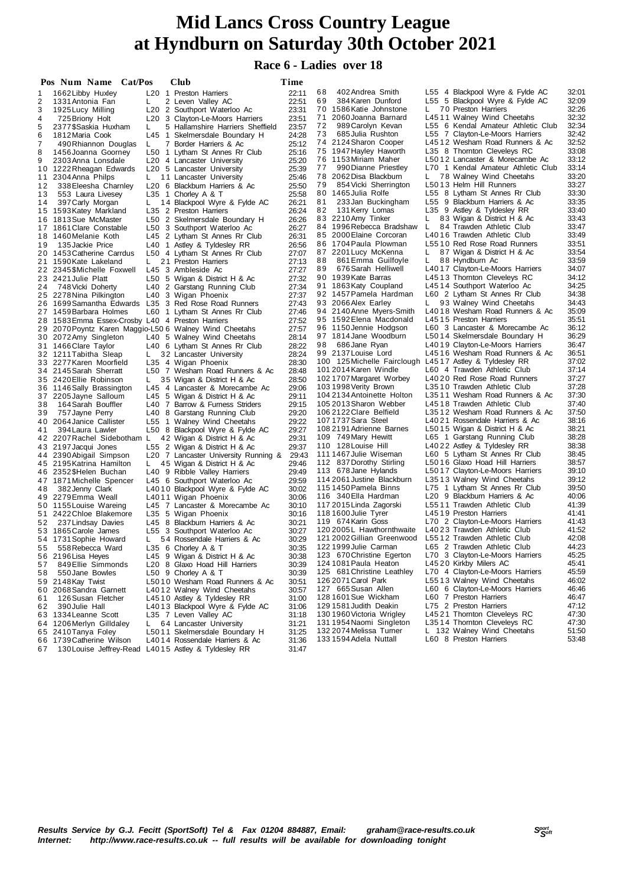#### **Race 6 - Ladies over 18**

|          | Pos Num Name Cat/Pos                                   |    | Club                                                           | Time           |                                                         |    |                                                            |                |
|----------|--------------------------------------------------------|----|----------------------------------------------------------------|----------------|---------------------------------------------------------|----|------------------------------------------------------------|----------------|
| 1        | 1662 Libby Huxley                                      |    | L20 1 Preston Harriers                                         | 22:11          | 68<br>402 Andrea Smith                                  |    | L55 4 Blackpool Wyre & Fylde AC                            | 32:01          |
| 2        | 1331 Antonia Fan                                       | L  | 2 Leven Valley AC                                              | 22:51          | 384 Karen Dunford<br>69                                 |    | L55 5 Blackpool Wyre & Fylde AC                            | 32:09          |
| 3        | 1925 Lucy Milling                                      |    | L20 2 Southport Waterloo Ac                                    | 23:31          | 70<br>1586 Katie Johnstone                              | Ь. | 70 Preston Harriers                                        | 32:26          |
| 4        | 725 Briony Holt                                        |    | L20 3 Clayton-Le-Moors Harriers                                | 23:51          | 71 2060 Joanna Barnard                                  |    | L4511 Walney Wind Cheetahs                                 | 32:32          |
| 5        | 2377\$Saskia Huxham                                    | L  | 5 Hallamshire Harriers Sheffield                               | 23:57          | 72<br>989 Carolyn Kevan                                 |    | L55 6 Kendal Amateur Athletic Club                         | 32:34          |
| 6        | 1812 Maria Cook                                        |    | L45 1 Skelmersdale Boundary H                                  | 24:28          | 685 Julia Rushton<br>73                                 |    | L55 7 Clayton-Le-Moors Harriers                            | 32:42          |
| 7        | 490 Rhiannon Douglas                                   | L  | 7 Border Harriers & Ac                                         | 25:12          | 74 2124 Sharon Cooper                                   |    | L4512 Wesham Road Runners & Ac                             | 32:52          |
| 8        | 1456 Joanna Goorney                                    |    | L50 1 Lytham St Annes Rr Club                                  | 25:16          | 75 1947 Hayley Haworth                                  |    | L35 8 Thornton Cleveleys RC                                | 33:08          |
| 9        | 2303 Anna Lonsdale                                     |    | L20 4 Lancaster University                                     | 25:20          | 76 1153 Miriam Maher                                    |    | L5012 Lancaster & Morecambe Ac                             | 33:12          |
|          | 10 1222 Rheagan Edwards                                |    | L20 5 Lancaster University                                     | 25:39          | 77<br>990 Dianne Priestley                              |    | L70 1 Kendal Amateur Athletic Club                         | 33:14          |
| 11       | 2304 Anna Philps                                       | L. | 11 Lancaster University                                        | 25:46          | 78 2062 Disa Blackburn<br>79<br>854 Vicki Sherrington   | L. | 78 Walney Wind Cheetahs                                    | 33:20          |
| 12       | 338 Eleesha Charnley                                   |    | L20 6 Blackburn Harriers & Ac                                  | 25:50          | 80 1465 Julia Rolfe                                     |    | L5013 Helm Hill Runners<br>L55 8 Lytham St Annes Rr Club   | 33:27<br>33:30 |
| 13       | 553 Laura Livesey                                      |    | L35 1 Chorley A & T                                            | 25:58          | 81<br>233 Jan Buckingham                                |    | L55 9 Blackburn Harriers & Ac                              | 33:35          |
| 14       | 397 Carly Morgan                                       | L  | 14 Blackpool Wyre & Fylde AC                                   | 26:21<br>26:24 | 131 Kerry Lomas<br>82                                   |    | L35 9 Astley & Tyldesley RR                                | 33:40          |
|          | 15 1593 Katey Markland                                 |    | L35 2 Preston Harriers                                         | 26:26          | 83 2210 Amy Tinker                                      | L. | 83 Wigan & District H & Ac                                 | 33:43          |
|          | 16 1813 Sue McMaster<br>17 1861 Clare Constable        |    | L50 2 Skelmersdale Boundary H<br>L50 3 Southport Waterloo Ac   | 26:27          | 84 1996 Rebecca Bradshaw                                | L  | 84 Trawden Athletic Club                                   | 33:47          |
|          | 18 1460 Melanie Koth                                   |    | L45 2 Lytham St Annes Rr Club                                  | 26:31          | 85 2000 Elaine Corcoran                                 |    | L4016 Trawden Athletic Club                                | 33:49          |
| 19       | 135 Jackie Price                                       |    | L40 1 Astley & Tyldesley RR                                    | 26:56          | 86 1704 Paula Plowman                                   |    | L5510 Red Rose Road Runners                                | 33:51          |
|          | 20 1453 Catherine Carrdus                              |    | L50 4 Lytham St Annes Rr Club                                  | 27:07          | 87 2201 Lucy McKenna                                    | L. | 87 Wigan & District H & Ac                                 | 33:54          |
|          | 21 1590 Kate Lakeland                                  | L. | 21 Preston Harriers                                            | 27:13          | 861 Emma Guilfoyle<br>88                                | L. | 88 Hyndburn Ac                                             | 33:59          |
|          | 22 2345 \$Michelle Foxwell                             |    | L45 3 Ambleside Ac                                             | 27:27          | 89<br>676 Sarah Helliwell                               |    | L4017 Clayton-Le-Moors Harriers                            | 34:07          |
|          | 23 2421 Julie Platt                                    |    | L50 5 Wigan & District H & Ac                                  | 27:32          | 90 1939 Kate Barras                                     |    | L4513 Thornton Cleveleys RC                                | 34:12          |
| 24       | 748 Vicki Doherty                                      |    | L40 2 Garstang Running Club                                    | 27:34          | 91 1863 Katy Coupland                                   |    | L4514 Southport Waterloo Ac                                | 34:25          |
|          | 25 2278 Nina Pilkington                                |    | L40 3 Wigan Phoenix                                            | 27:37          | 92 1457 Pamela Hardman                                  |    | L60 2 Lytham St Annes Rr Club                              | 34:38          |
|          | 26 1699 Samantha Edwards L35 3 Red Rose Road Runners   |    |                                                                | 27:43          | 93 2066 Alex Earley                                     | L. | 93 Walney Wind Cheetahs                                    | 34:43          |
|          | 27 1459 Barbara Holmes                                 |    | L60 1 Lytham St Annes Rr Club                                  | 27:46          | 94 2140 Anne Myers-Smith                                |    | L4018 Wesham Road Runners & Ac                             | 35:09          |
|          | 28 1583 Emma Essex-Crosby L40 4 Preston Harriers       |    |                                                                | 27:52          | 95 1592 Elena Macdonald                                 |    | L4515 Preston Harriers                                     | 35:51          |
|          | 29 2070 Poyntz Karen Maggio-L50 6 Walney Wind Cheetahs |    |                                                                | 27:57          | 96 1150 Jennie Hodgson                                  |    | L60 3 Lancaster & Morecambe Ac                             | 36:12          |
|          | 30 2072 Amy Singleton                                  |    | L40 5 Walney Wind Cheetahs                                     | 28:14          | 97 1814 Jane Woodburn                                   |    | L5014 Skelmersdale Boundary H                              | 36:29          |
|          | 31 1466 Clare Taylor                                   |    | L40 6 Lytham St Annes Rr Club                                  | 28:22          | 98 686 Jane Ryan                                        |    | L4019 Clayton-Le-Moors Harriers                            | 36:47          |
|          | 32 1211 Tabitha Sleap                                  | L. | 32 Lancaster University                                        | 28:24          | 99 2137 Louise Lord                                     |    | L4516 Wesham Road Runners & Ac                             | 36:51          |
|          | 33 2277 Karen Moorfield                                |    | L35 4 Wigan Phoenix                                            | 28:30          | 100 125 Michelle Fairclough L4517 Astley & Tyldesley RR |    |                                                            | 37:02          |
|          | 34 2145 Sarah Sherratt                                 |    | L50 7 Wesham Road Runners & Ac                                 | 28:48          | 101 2014 Karen Windle                                   |    | L60 4 Trawden Athletic Club                                | 37:14          |
|          | 35 2420 Ellie Robinson                                 | L. | 35 Wigan & District H & Ac                                     | 28:50          | 102 1707 Margaret Worbey<br>103 1998 Verity Brown       |    | L4020 Red Rose Road Runners<br>L3510 Trawden Athletic Club | 37:27<br>37:28 |
|          | 36 1146 Sally Brassington                              |    | L45 4 Lancaster & Morecambe Ac                                 | 29:06          | 104 2134 Antoinette Holton                              |    | L3511 Wesham Road Runners & Ac                             | 37:30          |
| 38       | 37 2205 Jayne Salloum<br>164 Sarah Bouffler            |    | L45 5 Wigan & District H & Ac                                  | 29:11<br>29:15 | 105 2013 Sharon Webber                                  |    | L4518 Trawden Athletic Club                                | 37:40          |
| 39       | 757 Jayne Perry                                        |    | L40 7 Barrow & Furness Striders<br>L40 8 Garstang Running Club | 29:20          | 106 2122 Clare Belfield                                 |    | L3512 Wesham Road Runners & Ac                             | 37:50          |
|          | 40 2064 Janice Callister                               |    | L55 1 Walney Wind Cheetahs                                     | 29:22          | 107 1737 Sara Steel                                     |    | L4021 Rossendale Harriers & Ac                             | 38:16          |
| 41       | 394 Laura Lawler                                       |    | L50 8 Blackpool Wyre & Fylde AC                                | 29:27          | 108 2191 Adrienne Barnes                                |    | L5015 Wigan & District H & Ac                              | 38:21          |
|          | 42 2207 Rachel Sidebotham L                            |    | 42 Wigan & District H & Ac                                     | 29:31          | 109 749 Mary Hewitt                                     |    | L65 1 Garstang Running Club                                | 38:28          |
|          | 43 2197 Jacqui Jones                                   |    | L55 2 Wigan & District H & Ac                                  | 29:37          | 110 128 Louise Hill                                     |    | L4022 Astley & Tyldesley RR                                | 38:38          |
|          | 44 2390 Abigail Simpson                                |    | L20 7 Lancaster University Running &                           | 29:43          | 111 1467 Julie Wiseman                                  |    | L60 5 Lytham St Annes Rr Club                              | 38:45          |
|          | 45 2195 Katrina Hamilton                               | L. | 45 Wigan & District H & Ac                                     | 29:46          | 112 837 Dorothy Stirling                                |    | L5016 Glaxo Hoad Hill Harriers                             | 38:57          |
|          | 46 2352 \$Helen Buchan                                 |    | L40 9 Ribble Valley Harriers                                   | 29:49          | 113 678 Jane Hylands                                    |    | L5017 Clayton-Le-Moors Harriers                            | 39:10          |
|          | 47 1871 Michelle Spencer                               |    | L45 6 Southport Waterloo Ac                                    | 29:59          | 114 2061 Justine Blackburn                              |    | L3513 Walney Wind Cheetahs                                 | 39:12          |
| 48       | 382 Jenny Clark                                        |    | L4010 Blackpool Wyre & Fylde AC                                | 30:02          | 115 1450 Pamela Binns                                   |    | L75 1 Lytham St Annes Rr Club                              | 39:50          |
|          | 49 2279 Emma Weall                                     |    | L4011 Wigan Phoenix                                            | 30:06          | 116 340 Ella Hardman                                    |    | L20 9 Blackburn Harriers & Ac                              | 40:06          |
|          | 50 1155 Louise Wareing                                 |    | L45 7 Lancaster & Morecambe Ac                                 | 30:10          | 117 2015 Linda Zagorski                                 |    | L5511 Trawden Athletic Club                                | 41:39          |
|          | 51 2422 Chloe Blakemore                                |    | L35 5 Wigan Phoenix                                            | 30:16          | 118 1600 Julie Tyrer                                    |    | L4519 Preston Harriers                                     | 41:41          |
| 52       | 237 Lindsay Davies                                     |    | L45 8 Blackburn Harriers & Ac                                  | 30:21          | 119 674 Karin Goss                                      |    | L70 2 Clayton-Le-Moors Harriers                            | 41:43          |
|          | 53 1865 Carole James                                   |    | L55 3 Southport Waterloo Ac                                    | 30:27          | 120 2005L Hawthornthwaite<br>121 2002 Gillian Greenwood |    | L4023 Trawden Athletic Club<br>L5512 Trawden Athletic Club | 41:52          |
|          | 54 1731 Sophie Howard                                  |    | 54 Rossendale Harriers & Ac                                    | 30:29          | 122 1999 Julie Carman                                   |    | L65 2 Trawden Athletic Club                                | 42:08<br>44:23 |
| 55       | 558 Rebecca Ward                                       |    | L35 6 Chorley A & T                                            | 30:35          | 123 670 Christine Egerton                               |    | L70 3 Clayton-Le-Moors Harriers                            | 45:25          |
|          | 56 2196 Lisa Heyes<br>849 Ellie Simmonds               |    | L45 9 Wigan & District H & Ac                                  | 30:38<br>30:39 | 124 1081 Paula Heaton                                   |    | L4520 Kirkby Milers AC                                     | 45:41          |
| 57<br>58 | 550 Jane Bowles                                        |    | L20 8 Glaxo Hoad Hill Harriers<br>L50 9 Chorley A & T          | 30:39          | 125 681 Christine Leathley                              |    | L70 4 Clayton-Le-Moors Harriers                            | 45:59          |
|          | 59 2148 Kay Twist                                      |    | L5010 Wesham Road Runners & Ac                                 | 30:51          | 126 2071 Carol Park                                     |    | L5513 Walney Wind Cheetahs                                 | 46:02          |
|          | 60 2068 Sandra Garnett                                 |    | L4012 Walney Wind Cheetahs                                     | 30:57          | 127 665 Susan Allen                                     |    | L60 6 Clayton-Le-Moors Harriers                            | 46:46          |
| 61       | 126 Susan Fletcher                                     |    | L4510 Astley & Tyldesley RR                                    | 31:00          | 128 1601 Sue Wickham                                    |    | L60 7 Preston Harriers                                     | 46:47          |
| 62       | 390 Julie Hall                                         |    | L4013 Blackpool Wyre & Fylde AC                                | 31:06          | 129 1581 Judith Deakin                                  |    | L75 2 Preston Harriers                                     | 47:12          |
|          | 63 1334 Leanne Scott                                   |    | L35 7 Leven Valley AC                                          | 31:18          | 130 1960 Victoria Wrigley                               |    | L4521 Thornton Cleveleys RC                                | 47:30          |
|          | 64 1206 Merlyn Gilldaley                               | L. | 64 Lancaster University                                        | 31:21          | 131 1954 Naomi Singleton                                |    | L3514 Thornton Cleveleys RC                                | 47:30          |
|          | 65 2410 Tanya Foley                                    |    | L5011 Skelmersdale Boundary H                                  | 31:25          | 132 2074 Melissa Turner                                 |    | L 132 Walney Wind Cheetahs                                 | 51:50          |
|          | 66 1739 Catherine Wilson                               |    | L4014 Rossendale Harriers & Ac                                 | 31:36          | 133 1594 Adela Nuttall                                  |    | L60 8 Preston Harriers                                     | 53:48          |
| 67       | 130 Louise Jeffrey-Read L4015 Astley & Tyldesley RR    |    |                                                                | 31:47          |                                                         |    |                                                            |                |
|          |                                                        |    |                                                                |                |                                                         |    |                                                            |                |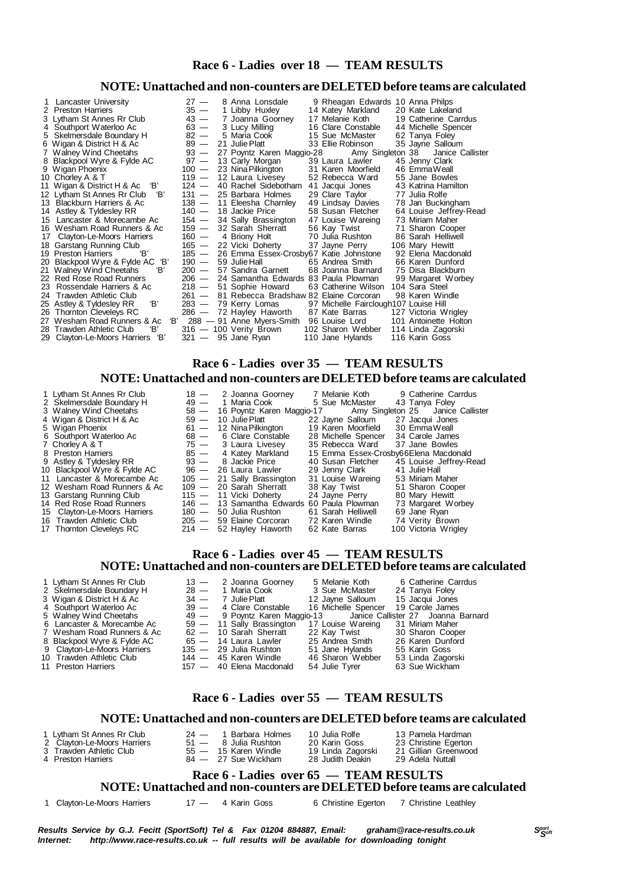#### **Race 6 - Ladies over 18 — TEAM RESULTS**

#### **NOTE: Unattached and non-counters are DELETED before teams are calculated**

| Lancaster University<br>2 Preston Harriers<br>3 Lytham St Annes Rr Club<br>4 Southport Waterloo Ac<br>5 Skelmersdale Boundary H | $27 -$<br>$35 -$<br>$43 -$<br>$63 -$<br>$82 -$ | 8 Anna Lonsdale<br>1 Libby Huxley<br>7 Joanna Goorney<br>3 Lucy Milling<br>5 Maria Cook | 9 Rheagan Edwards 10 Anna Philps<br>14 Katey Markland<br>17 Melanie Koth<br>16 Clare Constable<br>15 Sue McMaster | 20 Kate Lakeland<br>19 Catherine Carrdus<br>44 Michelle Spencer<br>62 Tanya Foley |
|---------------------------------------------------------------------------------------------------------------------------------|------------------------------------------------|-----------------------------------------------------------------------------------------|-------------------------------------------------------------------------------------------------------------------|-----------------------------------------------------------------------------------|
| 6 Wigan & District H & Ac                                                                                                       | $89 -$                                         | 21 Julie Platt                                                                          | 33 Ellie Robinson                                                                                                 | 35 Jayne Salloum                                                                  |
| 7 Walney Wind Cheetahs                                                                                                          | $93 -$                                         | 27 Poyntz Karen Maggio-28                                                               | Amy Singleton 38                                                                                                  | Janice Callister                                                                  |
| 8 Blackpool Wyre & Fylde AC                                                                                                     | $97 -$                                         | 13 Carly Morgan                                                                         | 39 Laura Lawler                                                                                                   | 45 Jenny Clark                                                                    |
| 9 Wigan Phoenix                                                                                                                 | $100 -$                                        | 23 Nina Pilkington                                                                      | 31 Karen Moorfield                                                                                                | 46 EmmaWeall                                                                      |
| 10 Chorley A & T                                                                                                                | $119 -$                                        | 12 Laura Livesey                                                                        | 52 Rebecca Ward                                                                                                   | 55 Jane Bowles                                                                    |
| 11 Wigan & District H & Ac 'B'                                                                                                  |                                                | 124 — 40 Rachel Sidebotham                                                              | 41 Jacqui Jones                                                                                                   | 43 Katrina Hamilton                                                               |
| 12 Lytham St Annes Rr Club<br>'B'                                                                                               | $131 -$                                        | 25 Barbara Holmes                                                                       | 29 Clare Taylor                                                                                                   | 77 Julia Rolfe                                                                    |
| 13 Blackburn Harriers & Ac                                                                                                      |                                                | 138 - 11 Eleesha Charnley                                                               | 49 Lindsay Davies                                                                                                 | 78 Jan Buckingham                                                                 |
| 14 Astley & Tyldesley RR                                                                                                        | $140 -$                                        | 18 Jackie Price                                                                         | 58 Susan Fletcher                                                                                                 | 64 Louise Jeffrey-Read                                                            |
| 15 Lancaster & Morecambe Ac                                                                                                     |                                                | 154 — 34 Sally Brassington                                                              | 47 Louise Wareing                                                                                                 | 73 Miriam Maher                                                                   |
| 16 Wesham Road Runners & Ac                                                                                                     | 159 —                                          | 32 Sarah Sherratt                                                                       | 56 Kay Twist                                                                                                      | 71 Sharon Cooper                                                                  |
| 17 Clayton-Le-Moors Harriers                                                                                                    | 160 —                                          | 4 Briony Holt                                                                           | 70 Julia Rushton                                                                                                  | 86 Sarah Helliwell                                                                |
| 18 Garstang Running Club                                                                                                        |                                                | 165 — 22 Vicki Doherty                                                                  | 37 Jayne Perry                                                                                                    | 106 Mary Hewitt                                                                   |
| 'B'<br>19 Preston Harriers                                                                                                      | $185 -$                                        | 26 Emma Essex-Crosby67 Katie Johnstone                                                  |                                                                                                                   | 92 Elena Macdonald                                                                |
| 20 Blackpool Wyre & Fylde AC 'B'                                                                                                | $190 -$                                        | 59 Julie Hall                                                                           | 65 Andrea Smith                                                                                                   | 66 Karen Dunford                                                                  |
| 21 Walney Wind Cheetahs<br>'B'                                                                                                  | $200 -$                                        | 57 Sandra Garnett                                                                       | 68 Joanna Barnard                                                                                                 | 75 Disa Blackburn                                                                 |
| 22 Red Rose Road Runners                                                                                                        | $206 -$                                        | 24 Samantha Edwards 83 Paula Plowman                                                    |                                                                                                                   | 99 Margaret Worbey                                                                |
| 23 Rossendale Harriers & Ac                                                                                                     | $218 -$                                        | 51 Sophie Howard                                                                        | 63 Catherine Wilson                                                                                               | 104 Sara Steel                                                                    |
| 24 Trawden Athletic Club                                                                                                        |                                                | 261 - 81 Rebecca Bradshaw 82 Elaine Corcoran                                            |                                                                                                                   | 98 Karen Windle                                                                   |
| 'B'<br>25 Astley & Tyldesley RR                                                                                                 |                                                | 283 — 79 Kerry Lomas                                                                    | 97 Michelle Fairclough107 Louise Hill                                                                             |                                                                                   |
| 26 Thornton Cleveleys RC                                                                                                        |                                                | 286 - 72 Hayley Haworth                                                                 | 87 Kate Barras                                                                                                    | 127 Victoria Wrigley                                                              |
| 'В'<br>27 Wesham Road Runners & Ac                                                                                              |                                                | 288 — 91 Anne Myers-Smith                                                               | 96 Louise Lord                                                                                                    | 101 Antoinette Holton                                                             |
| 'B'<br>28 Trawden Athletic Club                                                                                                 |                                                | 316 - 100 Verity Brown                                                                  | 102 Sharon Webber                                                                                                 | 114 Linda Zagorski                                                                |
| 'В'<br>29 Clayton-Le-Moors Harriers                                                                                             |                                                | $321 - 95$ Jane Ryan                                                                    | 110 Jane Hylands                                                                                                  | 116 Karin Goss                                                                    |

#### **Race 6 - Ladies over 35 — TEAM RESULTS**

#### **NOTE: Unattached and non-counters are DELETED before teams are calculated**

| 1 Lytham St Annes Rr Club<br>2 Skelmersdale Boundary H | $49 -$  | $18 - 2$ Joanna Goorney<br>1 Maria Cook    | 7 Melanie Koth<br>5 Sue McMaster | 9 Catherine Carrdus<br>43 Tanya Foley |
|--------------------------------------------------------|---------|--------------------------------------------|----------------------------------|---------------------------------------|
| 3 Walney Wind Cheetahs                                 |         | 58 — 16 Poyntz Karen Maggio-17             |                                  | Amy Singleton 25 Janice Callister     |
| 4 Wigan & District H & Ac                              |         | $59 - 10$ Julie Platt                      | 22 Jayne Salloum                 | 27 Jacqui Jones                       |
| 5 Wigan Phoenix                                        |         | $61 - 12$ Nina Pilkington                  | 19 Karen Moorfield               | 30 EmmaWeall                          |
| 6 Southport Waterloo Ac                                | $68 -$  | 6 Clare Constable                          | 28 Michelle Spencer              | 34 Carole James                       |
| 7 Chorley A & T                                        |         | $75 - 3$ Laura Livesey                     | 35 Rebecca Ward                  | 37 Jane Bowles                        |
| 8 Preston Harriers                                     | $85 -$  | 4 Katey Markland                           |                                  | 15 Emma Essex-Crosby66Elena Macdonald |
| 9 Astley & Tyldesley RR                                |         | 93 - 8 Jackie Price                        | 40 Susan Fletcher                | 45 Louise Jeffrey-Read                |
| 10 Blackpool Wyre & Fylde AC                           |         | 96 — 26 Laura Lawler                       | 29 Jenny Clark                   | 41 Julie Hall                         |
| 11 Lancaster & Morecambe Ac                            |         | 105 - 21 Sally Brassington                 | 31 Louise Wareing                | 53 Miriam Maher                       |
| 12 Wesham Road Runners & Ac                            |         | 109 - 20 Sarah Sherratt                    | 38 Kay Twist                     | 51 Sharon Cooper                      |
| 13 Garstang Running Club                               |         | 115 - 11 Vicki Doherty                     | 24 Jayne Perry                   | 80 Mary Hewitt                        |
| 14 Red Rose Road Runners                               |         | 146 - 13 Samantha Edwards 60 Paula Plowman |                                  | 73 Margaret Worbey                    |
| 15 Clayton-Le-Moors Harriers                           |         | 180 - 50 Julia Rushton                     | 61 Sarah Helliwell               | 69 Jane Rvan                          |
| 16 Trawden Athletic Club                               |         | 205 — 59 Elaine Corcoran                   | 72 Karen Windle                  | 74 Verity Brown                       |
| 17 Thornton Cleveleys RC                               | $214 -$ | 52 Hayley Haworth                          | 62 Kate Barras                   | 100 Victoria Wrigley                  |

#### **Race 6 - Ladies over 45 — TEAM RESULTS NOTE: Unattached and non-counters are DELETED before teams are calculated**

| 1 Lytham St Annes Rr Club   | 5 Melanie Koth<br>13 - 2 Joanna Goorney                          | 6 Catherine Carrdus                 |
|-----------------------------|------------------------------------------------------------------|-------------------------------------|
| 2 Skelmersdale Boundary H   | 3 Sue McMaster<br>28 — 1 Maria Cook                              | 24 Tanya Foley                      |
| 3 Wigan & District H & Ac   | 34 - 7 Julie Platt 12 Jayne Salloum 15 Jacqui Jones              |                                     |
| 4 Southport Waterloo Ac     | 39 - 4 Clare Constable                                           | 16 Michelle Spencer 19 Carole James |
| 5 Walney Wind Cheetahs      | 49 - 9 Poyntz Karen Maggio-13 Janice Callister 27 Joanna Barnard |                                     |
| 6 Lancaster & Morecambe Ac  | 59 - 11 Sally Brassington<br>17 Louise Wareing                   | 31 Miriam Maher                     |
| 7 Wesham Road Runners & Ac  | 62 — 10 Sarah Sherratt                                           | 22 Kay Twist 30 Sharon Cooper       |
| 8 Blackpool Wyre & Fylde AC | 25 Andrea Smith<br>65 — 14 Laura Lawler                          | 26 Karen Dunford                    |
| 9 Clayton-Le-Moors Harriers | 51 Jane Hylands<br>135 — 29 Julia Rushton                        | 55 Karin Goss                       |
| 10 Trawden Athletic Club    | 46 Sharon Webber<br>$144 - 45$ Karen Windle                      | 53 Linda Zagorski                   |
| 11 Preston Harriers         | 157 — 40 Elena Macdonald<br>54 Julie Tyrer                       | 63 Sue Wickham                      |

#### **Race 6 - Ladies over 55 — TEAM RESULTS**

#### **NOTE: Unattached and non-counters are DELETED before teams are calculated**

| 1 Lytham St Annes Rr Club              |  | 24 — 1 Barbara Holmes  | 10 Julia Rolfe    | 13 Pamela Hardman    |  |  |  |  |
|----------------------------------------|--|------------------------|-------------------|----------------------|--|--|--|--|
| 2 Clayton-Le-Moors Harriers            |  | $51 - 8$ Julia Rushton | 20 Karin Goss     | 23 Christine Egerton |  |  |  |  |
| 3 Trawden Athletic Club                |  | 55 — 15 Karen Windle   | 19 Linda Zagorski | 21 Gillian Greenwood |  |  |  |  |
| 4 Preston Harriers                     |  | 84 — 27 Sue Wickham    | 28 Judith Deakin  | 29 Adela Nuttall     |  |  |  |  |
| Race 6 - Ladies over 65 — TEAM RESULTS |  |                        |                   |                      |  |  |  |  |

#### **NOTE: Unattached and non-counters are DELETED before teams are calculated**

1 Clayton-Le-Moors Harriers 17 - 4 Karin Goss 6 Christine Egerton 7 Christine Leathley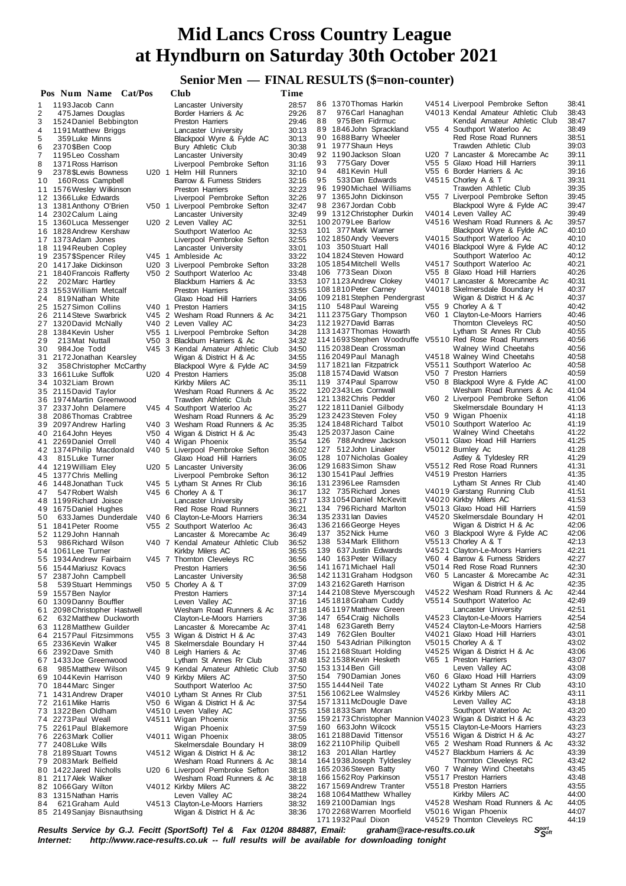## **Senior Men — FINAL RESULTS (\$=non-counter)**

|     | Pos Num Name Cat/Pos        |  | Club                               | Time  |                                                            |                                    |       |
|-----|-----------------------------|--|------------------------------------|-------|------------------------------------------------------------|------------------------------------|-------|
| 1   | 1193 Jacob Cann             |  | Lancaster University               | 28:57 | 86 1370 Thomas Harkin                                      | V4514 Liverpool Pembroke Sefton    | 38:41 |
| 2   | 475 James Douglas           |  | Border Harriers & Ac               | 29:26 | 87<br>976 Carl Hanaghan                                    | V4013 Kendal Amateur Athletic Club | 38:43 |
| 3   | 1524 Daniel Bebbington      |  | <b>Preston Harriers</b>            | 29:46 | 88<br>975 Ben Fidrmuc                                      | Kendal Amateur Athletic Club       | 38:47 |
| 4   | 1191 Matthew Briggs         |  | Lancaster University               | 30:13 | 89 1846 John Sprackland                                    | V55 4 Southport Waterloo Ac        | 38:49 |
| 5   | 359 Luke Minns              |  | Blackpool Wyre & Fylde AC          | 30:13 | 90 1688 Barry Wheeler                                      | Red Rose Road Runners              | 38:51 |
| 6   | 2370 \$Ben Coop             |  | Bury Athletic Club                 | 30:38 | 91 1977 Shaun Heys                                         | Trawden Athletic Club              | 39:03 |
| 7   | 1195 Leo Cossham            |  | Lancaster University               | 30:49 | 92 1190 Jackson Sloan                                      | U20 7 Lancaster & Morecambe Ac     | 39:11 |
| 8   | 1371 Ross Harrison          |  | Liverpool Pembroke Sefton          | 31:16 | 93<br>775 Gary Dover                                       | V55 5 Glaxo Hoad Hill Harriers     | 39:11 |
| 9   | 2378 SLewis Bowness         |  | U20 1 Helm Hill Runners            | 32:10 | 481 Kevin Hull<br>94                                       | V55 6 Border Harriers & Ac         | 39:16 |
| 10  | 160 Ross Campbell           |  | Barrow & Furness Striders          | 32:16 | 533Dan Edwards<br>95                                       | V4515 Chorley A & T                | 39:31 |
|     |                             |  |                                    | 32:23 | 96 1990 Michael Williams                                   | Trawden Athletic Club              | 39:35 |
|     | 11 1576 Wesley Wilkinson    |  | <b>Preston Harriers</b>            |       | 97 1365 John Dickinson                                     | V55 7 Liverpool Pembroke Sefton    | 39:45 |
|     | 12 1366 Luke Edwards        |  | Liverpool Pembroke Sefton          | 32:26 | 98 2367 Jordan Cobb                                        | Blackpool Wyre & Fylde AC          | 39.47 |
|     | 13 1381 Anthony O'Brien     |  | V50 1 Liverpool Pembroke Sefton    | 32:47 | 99 1312 Christopher Durkin                                 | V4014 Leven Valley AC              | 39:49 |
|     | 14 2302 Calum Laing         |  | Lancaster University               | 32:49 |                                                            | V4516 Wesham Road Runners & Ac     |       |
|     | 15 1360 Luca Messenger      |  | U20 2 Leven Valley AC              | 32:51 | 100 2079 Lee Barlow                                        |                                    | 39:57 |
|     | 16 1828 Andrew Kershaw      |  | Southport Waterloo Ac              | 32:53 | 101 377 Mark Warner                                        | Blackpool Wyre & Fylde AC          | 40:10 |
|     | 17 1373 Adam Jones          |  | Liverpool Pembroke Sefton          | 32:55 | 102 1850 Andy Veevers                                      | V4015 Southport Waterloo Ac        | 40:10 |
|     | 18 1194 Reuben Copley       |  | Lancaster University               | 33:01 | 103 350 Stuart Hall                                        | V4016 Blackpool Wyre & Fylde AC    | 40:12 |
|     | 19 2357 \$Spencer Riley     |  | V45 1 Ambleside Ac                 | 33:22 | 104 1824 Steven Howard                                     | Southport Waterloo Ac              | 40:12 |
|     | 20 1417 Jake Dickinson      |  | U20 3 Liverpool Pembroke Sefton    | 33:28 | 105 1854 Mitchell Wells                                    | V4517 Southport Waterloo Ac        | 40:21 |
| 21  | 1840 Francois Rafferty      |  | V50 2 Southport Waterloo Ac        | 33:48 | 106 773 Sean Dixon                                         | V55 8 Glaxo Hoad Hill Harriers     | 40:26 |
| 22  | 202 Marc Hartley            |  | Blackburn Harriers & Ac            | 33:53 | 107 1123 Andrew Clokey                                     | V4017 Lancaster & Morecambe Ac     | 40:31 |
|     | 23 1553 William Metcalf     |  | <b>Preston Harriers</b>            | 33:55 | 108 1810 Peter Carney                                      | V4018 Skelmersdale Boundary H      | 40:37 |
| 24  | 819 Nathan White            |  | Glaxo Hoad Hill Harriers           | 34:06 | 109 2181 Stephen Pendergrast                               | Wigan & District H & Ac            | 40:37 |
|     | 25 1527 Simon Collins       |  | V40 1 Preston Harriers             | 34:15 | 110 548 Paul Wareing                                       | V55 9 Chorley A & T                | 40:42 |
|     | 26 2114 Steve Swarbrick     |  | V45 2 Wesham Road Runners & Ac     | 34:21 | 111 2375 Gary Thompson                                     | V60 1 Clayton-Le-Moors Harriers    | 40:46 |
|     | 27 1320 David McNally       |  | V40 2 Leven Valley AC              | 34:23 | 112 1927 David Barras                                      | Thornton Cleveleys RC              | 40:50 |
|     | 28 1384 Kevin Usher         |  | V55 1 Liverpool Pembroke Sefton    | 34:28 | 113 1437 Thomas Howarth                                    | Lytham St Annes Rr Club            | 40:55 |
| 29  | 213 Mat Nuttall             |  | V50 3 Blackburn Harriers & Ac      | 34:32 | 114 1693 Stephen Woodruffe                                 | V5510 Red Rose Road Runners        | 40:56 |
| 30  | 984 Joe Todd                |  | V45 3 Kendal Amateur Athletic Club | 34:50 | 115 2038 Dean Crossman                                     | Walney Wind Cheetahs               | 40:56 |
| 31  | 2172 Jonathan Kearsley      |  | Wigan & District H & Ac            | 34:55 | 116 2049 Paul Managh                                       | V4518 Walney Wind Cheetahs         | 40:58 |
| 32  | 358 Christopher McCarthy    |  | Blackpool Wyre & Fylde AC          | 34:59 | 117 1821 lan Fitzpatrick                                   | V5511 Southport Waterloo Ac        | 40:58 |
| 33  | 1661 Luke Suffolk           |  | U20 4 Preston Harriers             | 35:08 | 118 1574 David Watson                                      | V50 7 Preston Harriers             | 40:59 |
|     | 34 1032 Liam Brown          |  | Kirkby Milers AC                   | 35:11 | 119 374 Paul Sparrow                                       | V50 8 Blackpool Wyre & Fylde AC    | 41:00 |
|     | 35 2115 David Taylor        |  | Wesham Road Runners & Ac           | 35:22 | 120 2343 Les Cornwall                                      | Wesham Road Runners & Ac           | 41:04 |
| 36  | 1974 Martin Greenwood       |  | Trawden Athletic Club              | 35:24 | 121 1382 Chris Pedder                                      | V60 2 Liverpool Pembroke Sefton    | 41:06 |
|     | 37 2337 John Delamere       |  | V45 4 Southport Waterloo Ac        | 35:27 | 122 1811 Daniel Gilbody                                    | Skelmersdale Boundary H            | 41:13 |
|     | 38 2086 Thomas Crabtree     |  | Wesham Road Runners & Ac           | 35:29 | 123 2423 Steven Foley                                      | V50 9 Wigan Phoenix                | 41:18 |
|     | 39 2097 Andrew Harling      |  | V40 3 Wesham Road Runners & Ac     | 35:35 | 124 1848 Richard Talbot                                    | V5010 Southport Waterloo Ac        | 41:19 |
|     | 40 2164 John Heyes          |  |                                    | 35:43 | 125 2037 Jason Caine                                       | Walney Wind Cheetahs               | 41:22 |
|     |                             |  | V50 4 Wigan & District H & Ac      |       | 126 788 Andrew Jackson                                     | V5011 Glaxo Hoad Hill Harriers     | 41:25 |
|     | 41 2269 Daniel Orrell       |  | V40 4 Wigan Phoenix                | 35:54 | 127 512 John Linaker                                       | V5012 Burnley Ac                   | 41:28 |
|     | 42 1374 Philip Macdonald    |  | V40 5 Liverpool Pembroke Sefton    | 36:02 | 128 107 Nicholas Goaley                                    | Astley & Tyldesley RR              | 41:29 |
| 43  | 815 Luke Turner             |  | Glaxo Hoad Hill Harriers           | 36:05 | 129 1683 Simon Shaw                                        | V5512 Red Rose Road Runners        | 41:31 |
|     | 44 1219 William Eley        |  | U20 5 Lancaster University         | 36:06 |                                                            |                                    |       |
|     | 45 1377 Chris Melling       |  | Liverpool Pembroke Sefton          | 36:12 | 130 1541 Paul Jeffries                                     | V4519 Preston Harriers             | 41:35 |
|     | 46 1448 Jonathan Tuck       |  | V45 5 Lytham St Annes Rr Club      | 36:16 | 131 2396 Lee Ramsden                                       | Lytham St Annes Rr Club            | 41:40 |
| 47  | 547 Robert Walsh            |  | V45 6 Chorley A & T                | 36:17 | 132 735 Richard Jones                                      | V4019 Garstang Running Club        | 41:51 |
|     | 48 1199 Richard Joisce      |  | Lancaster University               | 36:17 | 133 1054 Daniel McKevitt                                   | V4020 Kirkby Milers AC             | 41:53 |
|     | 49 1675 Daniel Hughes       |  | Red Rose Road Runners              | 36:21 | 134 796 Richard Marlton                                    | V5013 Glaxo Hoad Hill Harriers     | 41:59 |
| 50  | 633 James Dunderdale        |  | V40 6 Clayton-Le-Moors Harriers    | 36:34 | 135 2331 lan Davies                                        | V4520 Skelmersdale Boundary H      | 42:01 |
|     | 51 1841 Peter Roome         |  | V55 2 Southport Waterloo Ac        | 36:43 | 136 2166 George Heyes                                      | Wigan & District H & Ac            | 42:06 |
|     | 52 1129 John Hannah         |  | Lancaster & Morecambe Ac           | 36:49 | 137 352 Nick Hume                                          | V60 3 Blackpool Wyre & Fylde AC    | 42:06 |
| 53  | 986 Richard Wilson          |  | V40 7 Kendal Amateur Athletic Club | 36:52 | 138<br>534 Mark Ellithorn                                  | V5513 Chorley A & T                | 42:13 |
|     | 54 1061 Lee Turner          |  | Kirkby Milers AC                   | 36:55 | 139 637 Justin Edwards                                     | V4521 Clayton-Le-Moors Harriers    | 42:21 |
|     | 55 1934 Andrew Fairbairn    |  | V45 7 Thornton Cleveleys RC        | 36:56 | 140 163 Peter Willacy                                      | V60 4 Barrow & Furness Striders    | 42:27 |
|     | 56 1544 Mariusz Kovacs      |  | Preston Harriers                   | 36:56 | 141 1671 Michael Hall                                      | V5014 Red Rose Road Runners        | 42:30 |
| 57  | 2387 John Campbell          |  | Lancaster University               | 36:58 | 142 1131 Graham Hodgson                                    | V60 5 Lancaster & Morecambe Ac     | 42:31 |
| 58  | 539 Stuart Hemmings         |  | V50 5 Chorley A & T                | 37:09 | 143 2162 Gareth Harrison                                   | Wigan & District H & Ac            | 42:35 |
|     | 59 1557 Ben Naylor          |  | Preston Harriers                   | 37:14 | 144 2108 Steve Myerscough                                  | V4522 Wesham Road Runners & Ac     | 42:44 |
| 60  | 1309 Danny Bouffler         |  | Leven Valley AC                    | 37:16 | 145 1818 Graham Cuddy                                      | V5514 Southport Waterloo Ac        | 42:49 |
| 61  | 2098 Christopher Hastwell   |  | Wesham Road Runners & Ac           | 37:18 | 146 1197 Matthew Green                                     | Lancaster University               | 42:51 |
| 62  | 632 Matthew Duckworth       |  | Clayton-Le-Moors Harriers          | 37:36 | 147 654 Craig Nicholls                                     | V4523 Clayton-Le-Moors Harriers    | 42:54 |
| 63  | 1128 Matthew Guilder        |  | Lancaster & Morecambe Ac           | 37:41 | 148 623 Gareth Berry                                       | V4524 Clayton-Le-Moors Harriers    | 42:58 |
|     | 64 2157 Paul Fitzsimmons    |  | V55 3 Wigan & District H & Ac      | 37:43 | 149 762 Glen Boulter                                       | V4021 Glaxo Hoad Hill Harriers     | 43:01 |
|     | 65 2336 Kevin Walker        |  | V45 8 Skelmersdale Boundary H      | 37:44 | 150 543 Adrian Pilkington                                  | V5015 Chorley A & T                | 43:02 |
|     | 66 2392 Dave Smith          |  | V40 8 Leigh Harriers & Ac          | 37:46 | 151 2168 Stuart Holding                                    | V4525 Wigan & District H & Ac      | 43:06 |
|     | 67 1433 Joe Greenwood       |  | Lytham St Annes Rr Club            | 37:48 | 152 1538 Kevin Hesketh                                     | V65 1 Preston Harriers             | 43:07 |
| 68  | 985 Matthew Wilson          |  | V45 9 Kendal Amateur Athletic Club | 37:50 | 153 1314 Ben Gill                                          | Leven Valley AC                    | 43:08 |
| 69. | 1044 Kevin Harrison         |  | V40 9 Kirkby Milers AC             | 37:50 | 154 790 Damian Jones                                       | V60 6 Glaxo Hoad Hill Harriers     | 43:09 |
|     | 70 1844 Marc Singer         |  | Southport Waterloo Ac              | 37:50 | 155 1444 Neil Tate                                         | V4022 Lytham St Annes Rr Club      | 43:10 |
| 71  | 1431 Andrew Draper          |  | V4010 Lytham St Annes Rr Club      | 37:51 | 156 1062 Lee Walmsley                                      | V4526 Kirkby Milers AC             | 43:11 |
|     | 72 2161 Mike Harris         |  | V50 6 Wigan & District H & Ac      | 37:54 | 157 1311 McDougle Dave                                     | Leven Valley AC                    | 43:18 |
|     | 73 1322 Ben Oldham          |  | V4510 Leven Valley AC              | 37:55 | 158 1833 Sam Moran                                         | Southport Waterloo Ac              | 43:20 |
|     | 74 2273 Paul Weall          |  | V4511 Wigan Phoenix                | 37:56 | 159 2173 Christopher Mannion V4023 Wigan & District H & Ac |                                    | 43:23 |
|     |                             |  |                                    |       | 160 663 John Wilcock                                       | V5515 Clayton-Le-Moors Harriers    | 43:23 |
| 75  | 2261 Paul Blakemore         |  | Wigan Phoenix                      | 37:59 |                                                            |                                    | 43:27 |
|     | 76 2263 Mark Collier        |  | V4011 Wigan Phoenix                | 38:05 | 161 2188 David Tittensor                                   | V5516 Wigan & District H & Ac      |       |
|     | 77 2408 Luke Wills          |  | Skelmersdale Boundary H            | 38:09 | 162 2110 Philip Quibell                                    | V65 2 Wesham Road Runners & Ac     | 43:32 |
| 78  | 2189 Stuart Towns           |  | V4512 Wigan & District H & Ac      | 38:12 | 163 201 Allan Hartley                                      | V4527 Blackburn Harriers & Ac      | 43:39 |
|     | 79 2083 Mark Belfield       |  | Wesham Road Runners & Ac           | 38:14 | 164 1938 Joseph Tyldesley                                  | Thornton Cleveleys RC              | 43:42 |
|     | 80 1422 Jared Nicholls      |  | U20 6 Liverpool Pembroke Sefton    | 38:18 | 165 2036 Steven Batty                                      | V60 7 Walney Wind Cheetahs         | 43:45 |
| 81  | 2117 Alek Walker            |  | Wesham Road Runners & Ac           | 38:18 | 166 1562 Roy Parkinson                                     | V5517 Preston Harriers             | 43:48 |
|     | 82 1066 Gary Wilton         |  | V4012 Kirkby Milers AC             | 38:22 | 1671569 Andrew Tranter                                     | V5518 Preston Harriers             | 43:55 |
| 83  | 1315 Nathan Harris          |  | Leven Valley AC                    | 38:24 | 168 1064 Matthew Whalley                                   | Kirkby Milers AC                   | 44:00 |
| 84  | 621 Graham Auld             |  | V4513 Clayton-Le-Moors Harriers    | 38:32 | 169 2100 Damian Ings                                       | V4528 Wesham Road Runners & Ac     | 44:05 |
|     | 85 2149 Sanjay Bisnauthsing |  | Wigan & District H & Ac            | 38:36 | 170 2268 Warren Moorfield                                  | V5016 Wigan Phoenix                | 44:07 |
|     |                             |  |                                    |       | 171 1932 Paul Dixon                                        | V4529 Thornton Cleveleys RC        | 44:19 |

*<sup>S</sup>port Results Service by G.J. Fecitt (SportSoft) Tel & Fax 01204 884887, Email: graham@race-results.co.uk <sup>S</sup>oft Internet: <http://www.race-results.co.uk>-- full results will be available for downloading tonight*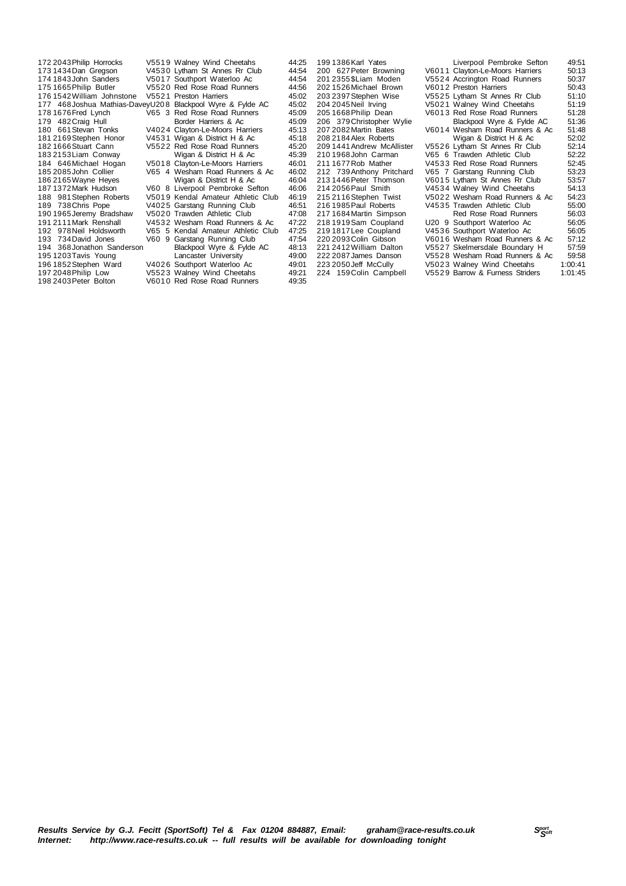$176 1542$  William Johnstone

172 2043 Philip Horrocks V5519 Walney Wind Cheetahs 44:25<br>173 1434 Dan Gregson V4530 Lytham St Annes Rr Club 44:54 173 1434 Dan Gregson V4530 Lytham St Annes Rr Club 44:54<br>174 1843 John Sanders V5017 Southport Waterloo Ac 44:54 1843John Sanders V501 7 Southport Waterloo Ac 44:54 V5520 Red Rose Road Runners 44:56<br>V5521 Preston Harriers 45:02 468Joshua Mathias-DaveyU20 8 Blackpool Wyre & Fylde AC 45:02 178 1676 Fred Lynch Music Live State V65 3 Red Rose Road Runners 45:09<br>179 1676 Fred Lynch V65 3 Red Rose Road Runners 45:09 482Craig Hull Border Harriers & Ac 45:09 180 661 Stevan Tonks V4024 Clayton-Le-Moors Harriers 45:13<br>181 2169 Stephen Honor V4531 Wigan & District H & Ac. 45:18 181 2169 Stephen Honor V4531 Wigan & District H & Ac 45:18<br>182 1666 Stuart Cann V5522 Red Rose Road Runners 45:20 1666Stuart Cann V552 2 Red Rose Road Runners 45:20 2153Liam Conway Wigan & District H & Ac 45:39 184 646 Michael Hogan v 5018 Clayton-Le-Moors Harriers 46:01<br>185 2085 John Collier v 65 4 Wesham Road Runners & Ac 46:02 2085John Collier V65 4 Wesham Road Runners & Ac 46:02 186 2165 Wayne Heyes Wigan & District H & Ac 46:04<br>187 1372 Mark Hudson V60 8 Liverpool Pembroke Sefton 46:06 1372Mark Hudson V60 8 Liverpool Pembroke Sefton 46:06 981Stephen Roberts V501 9 Kendal Amateur Athletic Club 46:19 738Chris Pope V402 5 Garstang Running Club 46:51 190 1965Jeremy Bradshaw V502 0 Trawden Athletic Club 47:08 2111Mark Renshall V453 2 Wesham Road Runners & Ac 47:22 978Neil Holdsworth V65 5 Kendal Amateur Athletic Club 47:25 V60 9 Garstang Running Club 47:54<br>Blackpool Wyre & Fylde AC 48:13 368Jonathon Sanderson Blackpool Wyre & Fylde AC 48:13 1203Tavis Young Lancaster University 49:00 196 1852Stephen Ward V402 6 Southport Waterloo Ac 49:01 2048Philip Low V552 3 Walney Wind Cheetahs 49:21 198 2403Peter Bolton V601 0 Red Rose Road Runners 49:35

199 1386 Karl Yates Liverpool Pembroke Sefton 49:51<br>200 627 Peter Browning V60 11 Clavton-Le-Moors Harriers 50:13 200 627 Peter Browning V6011 Clayton-Le-Moors Harriers 50:13<br>201 2355 SLiam Moden V5524 Accrington Road Runners 50:37 201 2355\$Liam Moden V552 4 Accrington Road Runners 50:37 202 1526Michael Brown V601 2 Preston Harriers 50:43 203 2397 Stephen Wise V5525 Lytham St Annes Rr Club<br>204 2045 Neil Irving V5021 Walney Wind Cheetahs 204 2045 Neil Irving V5021 Walney Wind Cheetahs 51:19<br>205 1668 Philip Dean V6013 Red Rose Road Runners 51:28 V6013 Red Rose Road Runners 51:28<br>Blackpool Wyre & Fylde AC 51:36 206 379 Christopher Wylie Blackpool Wyre & Fylde AC 51:36<br>207 2082 Martin Bates V6014 Wesham Road Runners & Ac 51:48 207 2082 Martin Bates V6014 Wesham Road Runners & Ac 51:48<br>208 2184 Alex Roberts Wigan & District H & Ac 52:02 208 2184Alex Roberts Wigan & District H & Ac 52:02 209 1441Andrew McAllister V552 6 Lytham St Annes Rr Club 52:14 210 1968John Carman V65 6 Trawden Athletic Club 52:22 211 1677Rob Mather V453 3 Red Rose Road Runners 52:45 212 739 Anthony Pritchard V65 7 Garstang Running Club 53:23<br>213 1446 Peter Thomson V6015 Lytham St Annes Rr Club 53:57 213 1446 Peter Thomson V6015 Lytham St Annes Rr Club 53:57<br>214 2056 Paul Smith V4534 Walney Wind Cheetahs 54:13 214 2056 Paul Smith V4534 Walney Wind Cheetahs 54:13<br>215 2116 Stephen Twist V5022 Wesham Road Runners & Ac 54:23 215 2116Stephen Twist V502 2 Wesham Road Runners & Ac 54:23 V4535 Trawden Athletic Club 55:00<br>Red Rose Road Runners 56:03 217 1684 Martin Simpson 2002 Red Rose Road Runners 56:03<br>218 1919 Sam Coupland 200 9 Southport Waterloo Ac 56:05 218 1919Sam Coupland U20 9 Southport Waterloo Ac 56:05 219 1817 Lee Coupland V4536 Southport Waterloo Ac 56:05<br>220 2093 Colin Gibson V6016 Wesham Road Runners & Ac 57:12 220 2093 Colin Gibson V6016 Wesham Road Runners & Ac 57:12<br>221 2412 William Dalton V5527 Skelmersdale Boundary H 57:59 221 2412 William Dalton V5527 Skelmersdale Boundary H 57:59<br>222 2087 James Danson V5528 Wesham Road Runners & Ac 59:58 222 2087James Danson V552 8 Wesham Road Runners & Ac 59:58 223 2050Jeff McCully V502 3 Walney Wind Cheetahs 1:00:41 224 159Colin Campbell V552 9 Barrow & Furness Striders 1:01:45